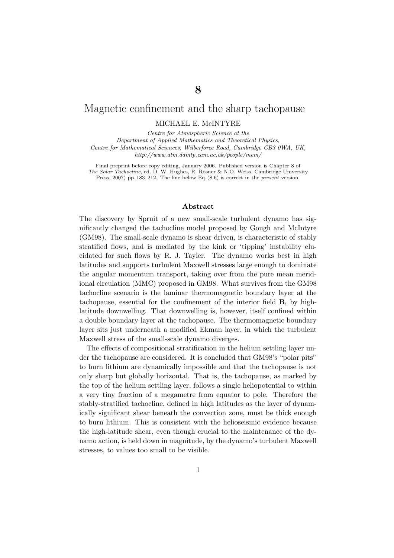# 8

# Magnetic confinement and the sharp tachopause

# MICHAEL E. McINTYRE

Centre for Atmospheric Science at the

Department of Applied Mathematics and Theoretical Physics, Centre for Mathematical Sciences, Wilberforce Road, Cambridge CB3 0WA, UK, http://www.atm.damtp.cam.ac.uk/people/mem/

Final preprint before copy editing, January 2006. Published version is Chapter 8 of The Solar Tachocline, ed. D. W. Hughes, R. Rosner & N.O. Weiss, Cambridge University Press, 2007) pp. 183–212. The line below Eq.  $(8.6)$  is correct in the *present* version.

#### Abstract

The discovery by Spruit of a new small-scale turbulent dynamo has significantly changed the tachocline model proposed by Gough and McIntyre (GM98). The small-scale dynamo is shear driven, is characteristic of stably stratified flows, and is mediated by the kink or 'tipping' instability elucidated for such flows by R. J. Tayler. The dynamo works best in high latitudes and supports turbulent Maxwell stresses large enough to dominate the angular momentum transport, taking over from the pure mean meridional circulation (MMC) proposed in GM98. What survives from the GM98 tachocline scenario is the laminar thermomagnetic boundary layer at the tachopause, essential for the confinement of the interior field  $B_i$  by highlatitude downwelling. That downwelling is, however, itself confined within a double boundary layer at the tachopause. The thermomagnetic boundary layer sits just underneath a modified Ekman layer, in which the turbulent Maxwell stress of the small-scale dynamo diverges.

The effects of compositional stratification in the helium settling layer under the tachopause are considered. It is concluded that GM98's "polar pits" to burn lithium are dynamically impossible and that the tachopause is not only sharp but globally horizontal. That is, the tachopause, as marked by the top of the helium settling layer, follows a single heliopotential to within a very tiny fraction of a megametre from equator to pole. Therefore the stably-stratified tachocline, defined in high latitudes as the layer of dynamically significant shear beneath the convection zone, must be thick enough to burn lithium. This is consistent with the helioseismic evidence because the high-latitude shear, even though crucial to the maintenance of the dynamo action, is held down in magnitude, by the dynamo's turbulent Maxwell stresses, to values too small to be visible.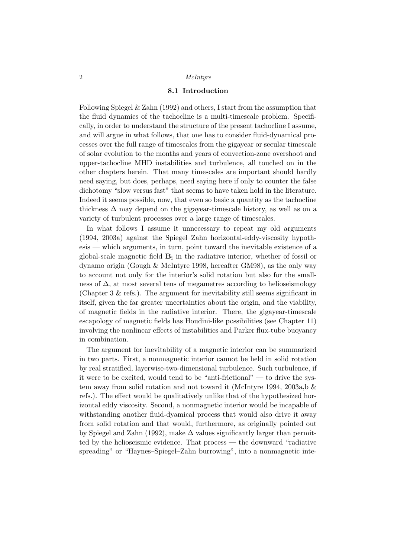# 8.1 Introduction

Following Spiegel  $&$  Zahn (1992) and others, I start from the assumption that the fluid dynamics of the tachocline is a multi-timescale problem. Specifically, in order to understand the structure of the present tachocline I assume, and will argue in what follows, that one has to consider fluid-dynamical processes over the full range of timescales from the gigayear or secular timescale of solar evolution to the months and years of convection-zone overshoot and upper-tachocline MHD instabilities and turbulence, all touched on in the other chapters herein. That many timescales are important should hardly need saying, but does, perhaps, need saying here if only to counter the false dichotomy "slow versus fast" that seems to have taken hold in the literature. Indeed it seems possible, now, that even so basic a quantity as the tachocline thickness  $\Delta$  may depend on the gigayear-timescale history, as well as on a variety of turbulent processes over a large range of timescales.

In what follows I assume it unnecessary to repeat my old arguments (1994, 2003a) against the Spiegel–Zahn horizontal-eddy-viscosity hypothesis — which arguments, in turn, point toward the inevitable existence of a global-scale magnetic field  $B_i$  in the radiative interior, whether of fossil or dynamo origin (Gough & McIntyre 1998, hereafter GM98), as the only way to account not only for the interior's solid rotation but also for the smallness of  $\Delta$ , at most several tens of megametres according to helioseismology (Chapter 3 & refs.). The argument for inevitability still seems significant in itself, given the far greater uncertainties about the origin, and the viability, of magnetic fields in the radiative interior. There, the gigayear-timescale escapology of magnetic fields has Houdini-like possibilities (see Chapter 11) involving the nonlinear effects of instabilities and Parker flux-tube buoyancy in combination.

The argument for inevitability of a magnetic interior can be summarized in two parts. First, a nonmagnetic interior cannot be held in solid rotation by real stratified, layerwise-two-dimensional turbulence. Such turbulence, if it were to be excited, would tend to be "anti-frictional" — to drive the system away from solid rotation and not toward it (McIntyre 1994, 2003a,b & refs.). The effect would be qualitatively unlike that of the hypothesized horizontal eddy viscosity. Second, a nonmagnetic interior would be incapable of withstanding another fluid-dyamical process that would also drive it away from solid rotation and that would, furthermore, as originally pointed out by Spiegel and Zahn (1992), make  $\Delta$  values significantly larger than permitted by the helioseismic evidence. That process — the downward "radiative spreading" or "Haynes–Spiegel–Zahn burrowing", into a nonmagnetic inte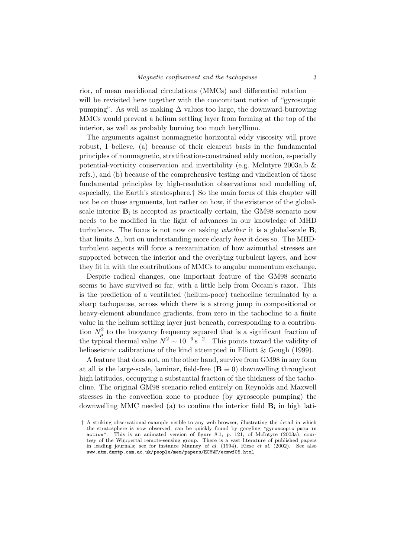rior, of mean meridional circulations (MMCs) and differential rotation will be revisited here together with the concomitant notion of "gyroscopic pumping". As well as making  $\Delta$  values too large, the downward-burrowing MMCs would prevent a helium settling layer from forming at the top of the interior, as well as probably burning too much beryllium.

The arguments against nonmagnetic horizontal eddy viscosity will prove robust, I believe, (a) because of their clearcut basis in the fundamental principles of nonmagnetic, stratification-constrained eddy motion, especially potential-vorticity conservation and invertibility (e.g. McIntyre 2003a,b  $\&$ refs.), and (b) because of the comprehensive testing and vindication of those fundamental principles by high-resolution observations and modelling of, especially, the Earth's stratosphere.† So the main focus of this chapter will not be on those arguments, but rather on how, if the existence of the globalscale interior  $B_i$  is accepted as practically certain, the GM98 scenario now needs to be modified in the light of advances in our knowledge of MHD turbulence. The focus is not now on asking *whether* it is a global-scale  $\mathbf{B}_i$ that limits  $\Delta$ , but on understanding more clearly *how* it does so. The MHDturbulent aspects will force a reexamination of how azimuthal stresses are supported between the interior and the overlying turbulent layers, and how they fit in with the contributions of MMCs to angular momentum exchange.

Despite radical changes, one important feature of the GM98 scenario seems to have survived so far, with a little help from Occam's razor. This is the prediction of a ventilated (helium-poor) tachocline terminated by a sharp tachopause, across which there is a strong jump in compositional or heavy-element abundance gradients, from zero in the tachocline to a finite value in the helium settling layer just beneath, corresponding to a contribution  $N_{\mu}^2$  to the buoyancy frequency squared that is a significant fraction of the typical thermal value  $N^2 \sim 10^{-6} \text{ s}^{-2}$ . This points toward the validity of helioseismic calibrations of the kind attempted in Elliott & Gough (1999).

A feature that does not, on the other hand, survive from GM98 in any form at all is the large-scale, laminar, field-free ( $\mathbf{B} \equiv 0$ ) downwelling throughout high latitudes, occupying a substantial fraction of the thickness of the tachocline. The original GM98 scenario relied entirely on Reynolds and Maxwell stresses in the convection zone to produce (by gyroscopic pumping) the downwelling MMC needed (a) to confine the interior field  $B_i$  in high lati-

<sup>†</sup> A striking observational example visible to any web browser, illustrating the detail in which the stratosphere is now observed, can be quickly found by googling "gyroscopic pump in action". This is an animated version of figure 8.1, p. 121, of McIntyre (2003a), courtesy of the Wuppertal remote-sensing group. There is a vast literature of published papers in leading journals; see for instance Manney et al. (1994), Riese et al. (2002). See also www.atm.damtp.cam.ac.uk/people/mem/papers/ECMWF/ecmwf05.html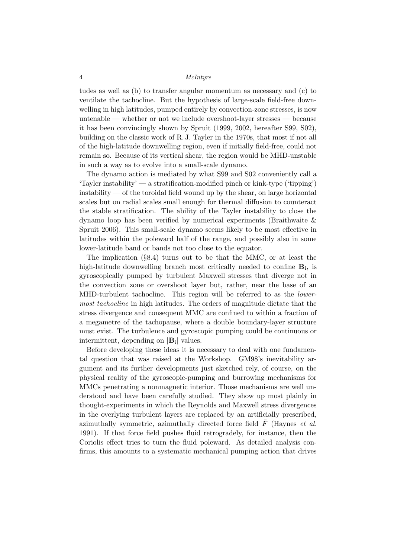tudes as well as (b) to transfer angular momentum as necessary and (c) to ventilate the tachocline. But the hypothesis of large-scale field-free downwelling in high latitudes, pumped entirely by convection-zone stresses, is now untenable — whether or not we include overshoot-layer stresses — because it has been convincingly shown by Spruit (1999, 2002, hereafter S99, S02), building on the classic work of R. J. Tayler in the 1970s, that most if not all of the high-latitude downwelling region, even if initially field-free, could not remain so. Because of its vertical shear, the region would be MHD-unstable in such a way as to evolve into a small-scale dynamo.

The dynamo action is mediated by what S99 and S02 conveniently call a 'Tayler instability' — a stratification-modified pinch or kink-type ('tipping') instability — of the toroidal field wound up by the shear, on large horizontal scales but on radial scales small enough for thermal diffusion to counteract the stable stratification. The ability of the Tayler instability to close the dynamo loop has been verified by numerical experiments (Braithwaite & Spruit 2006). This small-scale dynamo seems likely to be most effective in latitudes within the poleward half of the range, and possibly also in some lower-latitude band or bands not too close to the equator.

The implication (§8.4) turns out to be that the MMC, or at least the high-latitude downwelling branch most critically needed to confine  $B_i$ , is gyroscopically pumped by turbulent Maxwell stresses that diverge not in the convection zone or overshoot layer but, rather, near the base of an MHD-turbulent tachocline. This region will be referred to as the lowermost tachocline in high latitudes. The orders of magnitude dictate that the stress divergence and consequent MMC are confined to within a fraction of a megametre of the tachopause, where a double boundary-layer structure must exist. The turbulence and gyroscopic pumping could be continuous or intermittent, depending on  $|\mathbf{B}_i|$  values.

Before developing these ideas it is necessary to deal with one fundamental question that was raised at the Workshop. GM98's inevitability argument and its further developments just sketched rely, of course, on the physical reality of the gyroscopic-pumping and burrowing mechanisms for MMCs penetrating a nonmagnetic interior. Those mechanisms are well understood and have been carefully studied. They show up most plainly in thought-experiments in which the Reynolds and Maxwell stress divergences in the overlying turbulent layers are replaced by an artificially prescribed, azimuthally symmetric, azimuthally directed force field  $\bar{F}$  (Haynes *et al.*) 1991). If that force field pushes fluid retrogradely, for instance, then the Coriolis effect tries to turn the fluid poleward. As detailed analysis confirms, this amounts to a systematic mechanical pumping action that drives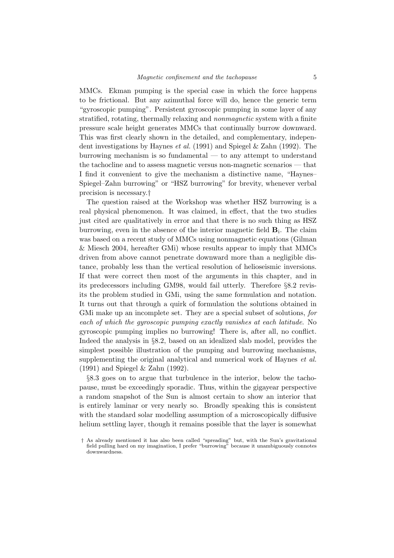MMCs. Ekman pumping is the special case in which the force happens to be frictional. But any azimuthal force will do, hence the generic term "gyroscopic pumping". Persistent gyroscopic pumping in some layer of any stratified, rotating, thermally relaxing and nonmagnetic system with a finite pressure scale height generates MMCs that continually burrow downward. This was first clearly shown in the detailed, and complementary, independent investigations by Haynes *et al.* (1991) and Spiegel & Zahn (1992). The burrowing mechanism is so fundamental — to any attempt to understand the tachocline and to assess magnetic versus non-magnetic scenarios — that I find it convenient to give the mechanism a distinctive name, "Haynes– Spiegel–Zahn burrowing" or "HSZ burrowing" for brevity, whenever verbal precision is necessary.†

The question raised at the Workshop was whether HSZ burrowing is a real physical phenomenon. It was claimed, in effect, that the two studies just cited are qualitatively in error and that there is no such thing as HSZ burrowing, even in the absence of the interior magnetic field  $B_i$ . The claim was based on a recent study of MMCs using nonmagnetic equations (Gilman & Miesch 2004, hereafter GMi) whose results appear to imply that MMCs driven from above cannot penetrate downward more than a negligible distance, probably less than the vertical resolution of helioseismic inversions. If that were correct then most of the arguments in this chapter, and in its predecessors including GM98, would fail utterly. Therefore §8.2 revisits the problem studied in GMi, using the same formulation and notation. It turns out that through a quirk of formulation the solutions obtained in GMi make up an incomplete set. They are a special subset of solutions, for each of which the gyroscopic pumping exactly vanishes at each latitude. No gyroscopic pumping implies no burrowing! There is, after all, no conflict. Indeed the analysis in §8.2, based on an idealized slab model, provides the simplest possible illustration of the pumping and burrowing mechanisms, supplementing the original analytical and numerical work of Haynes et al. (1991) and Spiegel & Zahn (1992).

§8.3 goes on to argue that turbulence in the interior, below the tachopause, must be exceedingly sporadic. Thus, within the gigayear perspective a random snapshot of the Sun is almost certain to show an interior that is entirely laminar or very nearly so. Broadly speaking this is consistent with the standard solar modelling assumption of a microscopically diffusive helium settling layer, though it remains possible that the layer is somewhat

<sup>†</sup> As already mentioned it has also been called "spreading" but, with the Sun's gravitational field pulling hard on my imagination, I prefer "burrowing" because it unambiguously connotes downwardness.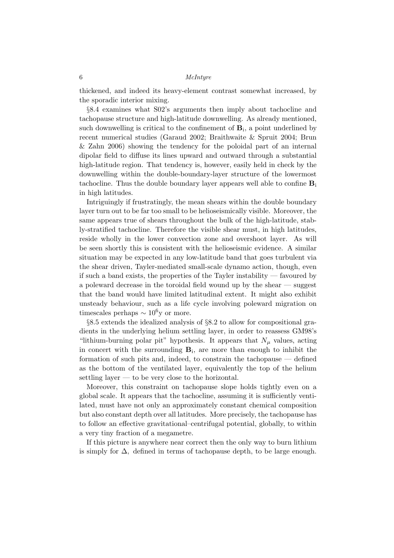thickened, and indeed its heavy-element contrast somewhat increased, by the sporadic interior mixing.

§8.4 examines what S02's arguments then imply about tachocline and tachopause structure and high-latitude downwelling. As already mentioned, such downwelling is critical to the confinement of  $B_i$ , a point underlined by recent numerical studies (Garaud 2002; Braithwaite & Spruit 2004; Brun & Zahn 2006) showing the tendency for the poloidal part of an internal dipolar field to diffuse its lines upward and outward through a substantial high-latitude region. That tendency is, however, easily held in check by the downwelling within the double-boundary-layer structure of the lowermost tachocline. Thus the double boundary layer appears well able to confine  $B_i$ in high latitudes.

Intriguingly if frustratingly, the mean shears within the double boundary layer turn out to be far too small to be helioseismically visible. Moreover, the same appears true of shears throughout the bulk of the high-latitude, stably-stratified tachocline. Therefore the visible shear must, in high latitudes, reside wholly in the lower convection zone and overshoot layer. As will be seen shortly this is consistent with the helioseismic evidence. A similar situation may be expected in any low-latitude band that goes turbulent via the shear driven, Tayler-mediated small-scale dynamo action, though, even if such a band exists, the properties of the Tayler instability — favoured by a poleward decrease in the toroidal field wound up by the shear — suggest that the band would have limited latitudinal extent. It might also exhibit unsteady behaviour, such as a life cycle involving poleward migration on timescales perhaps  $\sim 10^6$ y or more.

§8.5 extends the idealized analysis of §8.2 to allow for compositional gradients in the underlying helium settling layer, in order to reassess GM98's "lithium-burning polar pit" hypothesis. It appears that  $N_{\mu}$  values, acting in concert with the surrounding  $B_i$ , are more than enough to inhibit the formation of such pits and, indeed, to constrain the tachopause — defined as the bottom of the ventilated layer, equivalently the top of the helium settling layer — to be very close to the horizontal.

Moreover, this constraint on tachopause slope holds tightly even on a global scale. It appears that the tachocline, assuming it is sufficiently ventilated, must have not only an approximately constant chemical composition but also constant depth over all latitudes. More precisely, the tachopause has to follow an effective gravitational–centrifugal potential, globally, to within a very tiny fraction of a megametre.

If this picture is anywhere near correct then the only way to burn lithium is simply for  $\Delta$ , defined in terms of tachopause depth, to be large enough.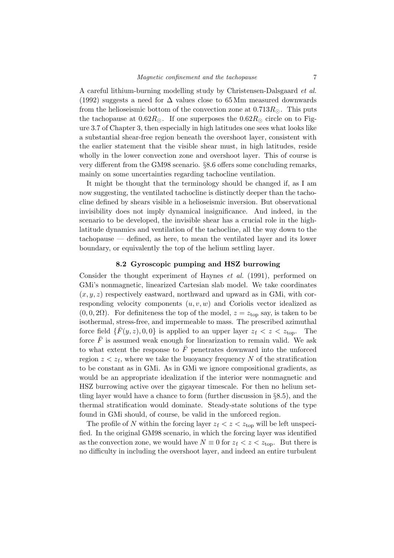A careful lithium-burning modelling study by Christensen-Dalsgaard et al. (1992) suggests a need for  $\Delta$  values close to 65 Mm measured downwards from the helioseismic bottom of the convection zone at  $0.713R_{\odot}$ . This puts the tachopause at  $0.62R_{\odot}$ . If one superposes the  $0.62R_{\odot}$  circle on to Figure 3.7 of Chapter 3, then especially in high latitudes one sees what looks like a substantial shear-free region beneath the overshoot layer, consistent with the earlier statement that the visible shear must, in high latitudes, reside wholly in the lower convection zone and overshoot layer. This of course is very different from the GM98 scenario. §8.6 offers some concluding remarks, mainly on some uncertainties regarding tachocline ventilation.

It might be thought that the terminology should be changed if, as I am now suggesting, the ventilated tachocline is distinctly deeper than the tachocline defined by shears visible in a helioseismic inversion. But observational invisibility does not imply dynamical insignificance. And indeed, in the scenario to be developed, the invisible shear has a crucial role in the highlatitude dynamics and ventilation of the tachocline, all the way down to the tachopause — defined, as here, to mean the ventilated layer and its lower boundary, or equivalently the top of the helium settling layer.

#### 8.2 Gyroscopic pumping and HSZ burrowing

Consider the thought experiment of Haynes et al. (1991), performed on GMi's nonmagnetic, linearized Cartesian slab model. We take coordinates  $(x, y, z)$  respectively eastward, northward and upward as in GMi, with corresponding velocity components  $(u, v, w)$  and Coriolis vector idealized as  $(0, 0, 2\Omega)$ . For definiteness the top of the model,  $z = z_{\text{top}}$  say, is taken to be isothermal, stress-free, and impermeable to mass. The prescribed azimuthal force field  $\{\bar{F}(y, z), 0, 0\}$  is applied to an upper layer  $z_f < z < z_{\text{top}}$ . The force  $\bar{F}$  is assumed weak enough for linearization to remain valid. We ask to what extent the response to  $F$  penetrates downward into the unforced region  $z < z_f$ , where we take the buoyancy frequency N of the stratification to be constant as in GMi. As in GMi we ignore compositional gradients, as would be an appropriate idealization if the interior were nonmagnetic and HSZ burrowing active over the gigayear timescale. For then no helium settling layer would have a chance to form (further discussion in §8.5), and the thermal stratification would dominate. Steady-state solutions of the type found in GMi should, of course, be valid in the unforced region.

The profile of N within the forcing layer  $z_f < z < z_{top}$  will be left unspecified. In the original GM98 scenario, in which the forcing layer was identified as the convection zone, we would have  $N \equiv 0$  for  $z_f < z < z_{top}$ . But there is no difficulty in including the overshoot layer, and indeed an entire turbulent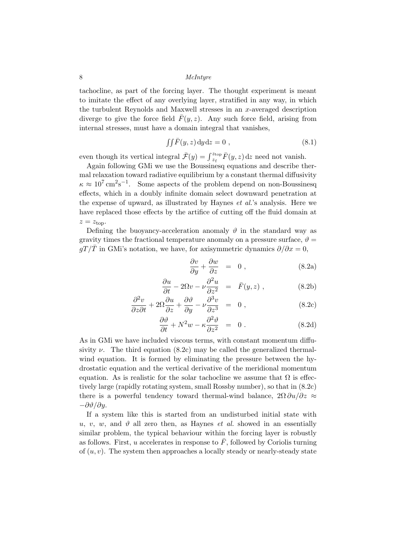### 8 McInture

tachocline, as part of the forcing layer. The thought experiment is meant to imitate the effect of any overlying layer, stratified in any way, in which the turbulent Reynolds and Maxwell stresses in an  $x$ -averaged description diverge to give the force field  $\bar{F}(y, z)$ . Any such force field, arising from internal stresses, must have a domain integral that vanishes,

$$
\iint \bar{F}(y, z) \, dy \, dz = 0 \tag{8.1}
$$

even though its vertical integral  $\bar{\mathcal{F}}(y) = \int_{z_f}^{z_{\text{top}}} \bar{F}(y, z) dz$  need not vanish.

Again following GMi we use the Boussinesq equations and describe thermal relaxation toward radiative equilibrium by a constant thermal diffusivity  $\kappa \approx 10^7 \,\mathrm{cm}^2 \mathrm{s}^{-1}$ . Some aspects of the problem depend on non-Boussinesq effects, which in a doubly infinite domain select downward penetration at the expense of upward, as illustrated by Haynes et al.'s analysis. Here we have replaced those effects by the artifice of cutting off the fluid domain at  $z = z_{\text{top}}$ .

Defining the buoyancy-acceleration anomaly  $\vartheta$  in the standard way as gravity times the fractional temperature anomaly on a pressure surface,  $\vartheta =$  $gT/\overline{T}$  in GMi's notation, we have, for axisymmetric dynamics  $\partial/\partial x = 0$ ,

$$
\frac{\partial v}{\partial y} + \frac{\partial w}{\partial z} = 0 , \qquad (8.2a)
$$

$$
\frac{\partial u}{\partial t} - 2\Omega v - \nu \frac{\partial^2 u}{\partial z^2} = \bar{F}(y, z) , \qquad (8.2b)
$$

$$
\frac{\partial^2 v}{\partial z \partial t} + 2\Omega \frac{\partial u}{\partial z} + \frac{\partial \vartheta}{\partial y} - \nu \frac{\partial^3 v}{\partial z^3} = 0 , \qquad (8.2c)
$$

$$
\frac{\partial \vartheta}{\partial t} + N^2 w - \kappa \frac{\partial^2 \vartheta}{\partial z^2} = 0.
$$
 (8.2d)

As in GMi we have included viscous terms, with constant momentum diffusivity  $\nu$ . The third equation (8.2c) may be called the generalized thermalwind equation. It is formed by eliminating the pressure between the hydrostatic equation and the vertical derivative of the meridional momentum equation. As is realistic for the solar tachocline we assume that  $\Omega$  is effectively large (rapidly rotating system, small Rossby number), so that in (8.2c) there is a powerful tendency toward thermal-wind balance,  $2\Omega \frac{\partial u}{\partial z} \approx$  $-\partial \vartheta/\partial u$ .

If a system like this is started from an undisturbed initial state with u, v, w, and  $\vartheta$  all zero then, as Haynes *et al.* showed in an essentially similar problem, the typical behaviour within the forcing layer is robustly as follows. First, u accelerates in response to  $\bar{F}$ , followed by Coriolis turning of  $(u, v)$ . The system then approaches a locally steady or nearly-steady state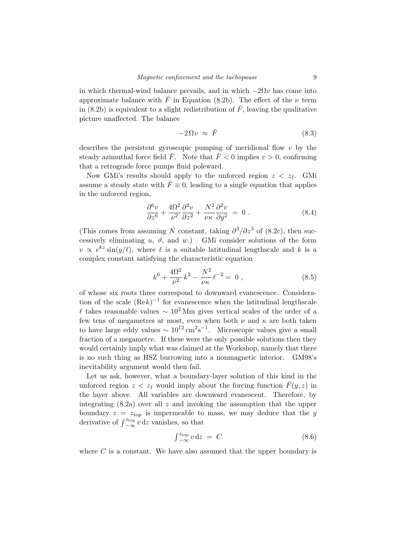in which thermal-wind balance prevails, and in which  $-2\Omega v$  has come into approximate balance with  $\bar{F}$  in Equation (8.2b). The effect of the  $\nu$  term in (8.2b) is equivalent to a slight redistribution of  $\bar{F}$ , leaving the qualitative picture unaffected. The balance

$$
-2\Omega v \approx \bar{F} \tag{8.3}
$$

describes the persistent gyroscopic pumping of meridional flow  $v$  by the steady azimuthal force field  $\bar{F}$ . Note that  $\bar{F}$  < 0 implies  $v > 0$ , confirming that a retrograde force pumps fluid poleward.

Now GMi's results should apply to the unforced region  $z < z_f$ . GMi assume a steady state with  $\bar{F} \equiv 0$ , leading to a single equation that applies in the unforced region,

$$
\frac{\partial^6 v}{\partial z^6} + \frac{4\Omega^2}{\nu^2} \frac{\partial^2 v}{\partial z^2} + \frac{N^2}{\nu \kappa} \frac{\partial^2 v}{\partial y^2} = 0.
$$
 (8.4)

(This comes from assuming N constant, taking  $\partial^3/\partial z^3$  of (8.2c), then successively eliminating u,  $\vartheta$ , and w.) GMi consider solutions of the form  $v \propto e^{kz} \sin(y/\ell)$ , where  $\ell$  is a suitable latitudinal lengthscale and k is a complex constant satisfying the characteristic equation

$$
k^{6} + \frac{4\Omega^{2}}{\nu^{2}} k^{2} - \frac{N^{2}}{\nu \kappa} \ell^{-2} = 0 , \qquad (8.5)
$$

of whose six roots three correspond to downward evanescence. Consideration of the scale  $(Re k)^{-1}$  for evanescence when the latitudinal lengthscale  $\ell$  takes reasonable values ~ 10<sup>2</sup> Mm gives vertical scales of the order of a few tens of megametres at most, even when both  $\nu$  and  $\kappa$  are both taken to have large eddy values  $\sim 10^{12} \text{ cm}^2 \text{s}^{-1}$ . Microscopic values give a small fraction of a megametre. If these were the only possible solutions then they would certainly imply what was claimed at the Workshop, namely that there is no such thing as HSZ burrowing into a nonmagnetic interior. GM98's inevitability argument would then fail.

Let us ask, however, what a boundary-layer solution of this kind in the unforced region  $z < z_f$  would imply about the forcing function  $\bar{F}(y, z)$  in the layer above. All variables are downward evanescent. Therefore, by integrating  $(8.2a)$  over all z and invoking the assumption that the upper boundary  $z = z_{top}$  is impermeable to mass, we may deduce that the y derivative of  $\int_{-\infty}^{z_{\text{top}}} v \,dz$  vanishes, so that

$$
\int_{-\infty}^{z_{\text{top}}} v \, \mathrm{d}z = C \tag{8.6}
$$

where  $C$  is a constant. We have also assumed that the upper boundary is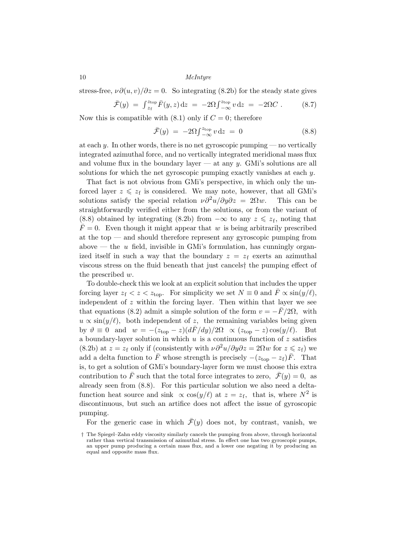stress-free,  $\nu \partial(u, v)/\partial z = 0$ . So integrating (8.2b) for the steady state gives

$$
\bar{\mathcal{F}}(y) = \int_{z_f}^{z_{\text{top}}} \bar{F}(y, z) dz = -2\Omega \int_{-\infty}^{z_{\text{top}}} v dz = -2\Omega C . \qquad (8.7)
$$

Now this is compatible with  $(8.1)$  only if  $C = 0$ ; therefore

$$
\bar{\mathcal{F}}(y) = -2\Omega \int_{-\infty}^{z_{\text{top}}} v \, \mathrm{d}z = 0 \tag{8.8}
$$

at each  $y$ . In other words, there is no net gyroscopic pumping — no vertically integrated azimuthal force, and no vertically integrated meridional mass flux and volume flux in the boundary layer — at any  $y$ . GMi's solutions are all solutions for which the net gyroscopic pumping exactly vanishes at each  $y$ .

That fact is not obvious from GMi's perspective, in which only the unforced layer  $z \le z_f$  is considered. We may note, however, that all GMi's solutions satisfy the special relation  $\nu \partial^2 u/\partial y \partial z = 2\Omega w$ . This can be straightforwardly verified either from the solutions, or from the variant of (8.8) obtained by integrating (8.2b) from  $-\infty$  to any  $z \leq z_f$ , noting that  $\bar{F}=0$ . Even though it might appear that w is being arbitrarily prescribed at the top — and should therefore represent any gyroscopic pumping from above — the u field, invisible in GMi's formulation, has cunningly organized itself in such a way that the boundary  $z = z_f$  exerts an azimuthal viscous stress on the fluid beneath that just cancels† the pumping effect of the prescribed w.

To double-check this we look at an explicit solution that includes the upper forcing layer  $z_f < z < z_{\text{top}}$ . For simplicity we set  $N \equiv 0$  and  $\bar{F} \propto \sin(y/\ell)$ , independent of  $z$  within the forcing layer. Then within that layer we see that equations (8.2) admit a simple solution of the form  $v = -\bar{F}/2\Omega$ , with  $u \propto \sin(y/\ell)$ , both independent of z, the remaining variables being given by  $\vartheta \equiv 0$  and  $w = -(z_{top} - z)(d\bar{F}/dy)/2\Omega \propto (z_{top} - z) \cos(y/\ell)$ . But a boundary-layer solution in which  $u$  is a continuous function of  $z$  satisfies (8.2b) at  $z = z_f$  only if (consistently with  $\nu \partial^2 u/\partial y \partial z = 2\Omega w$  for  $z \le z_f$ ) we add a delta function to  $\bar{F}$  whose strength is precisely  $-(z_{\text{top}} - z_{\text{f}})\bar{F}$ . That is, to get a solution of GMi's boundary-layer form we must choose this extra contribution to  $\bar{F}$  such that the total force integrates to zero,  $\bar{\mathcal{F}}(y) = 0$ , as already seen from (8.8). For this particular solution we also need a deltafunction heat source and sink  $\propto \cos(y/\ell)$  at  $z = z_f$ , that is, where  $N^2$  is discontinuous, but such an artifice does not affect the issue of gyroscopic pumping.

For the generic case in which  $\bar{\mathcal{F}}(y)$  does not, by contrast, vanish, we

<sup>†</sup> The Spiegel–Zahn eddy viscosity similarly cancels the pumping from above, through horizontal rather than vertical transmission of azimuthal stress. In effect one has two gyroscopic pumps, an upper pump producing a certain mass flux, and a lower one negating it by producing an equal and opposite mass flux.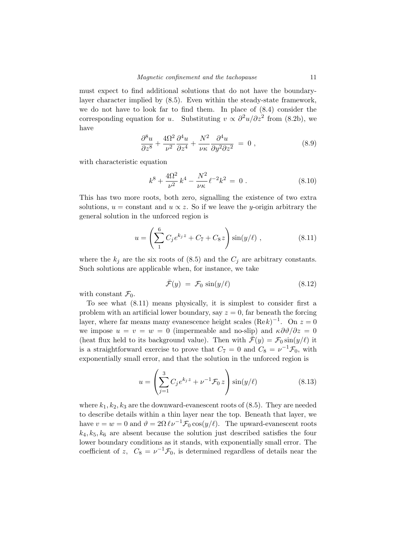must expect to find additional solutions that do not have the boundarylayer character implied by (8.5). Even within the steady-state framework, we do not have to look far to find them. In place of (8.4) consider the corresponding equation for u. Substituting  $v \propto \partial^2 u / \partial z^2$  from (8.2b), we have

$$
\frac{\partial^8 u}{\partial z^8} + \frac{4\Omega^2}{\nu^2} \frac{\partial^4 u}{\partial z^4} + \frac{N^2}{\nu \kappa} \frac{\partial^4 u}{\partial y^2 \partial z^2} = 0 , \qquad (8.9)
$$

with characteristic equation

$$
k^8 + \frac{4\Omega^2}{\nu^2} k^4 - \frac{N^2}{\nu \kappa} \ell^{-2} k^2 = 0.
$$
 (8.10)

This has two more roots, both zero, signalling the existence of two extra solutions,  $u = constant$  and  $u \propto z$ . So if we leave the y-origin arbitrary the general solution in the unforced region is

$$
u = \left(\sum_{1}^{6} C_j e^{k_j z} + C_7 + C_8 z\right) \sin(y/\ell) , \qquad (8.11)
$$

where the  $k_j$  are the six roots of (8.5) and the  $C_j$  are arbitrary constants. Such solutions are applicable when, for instance, we take

$$
\bar{\mathcal{F}}(y) = \mathcal{F}_0 \sin(y/\ell) \tag{8.12}
$$

with constant  $\mathcal{F}_0$ .

To see what (8.11) means physically, it is simplest to consider first a problem with an artificial lower boundary, say  $z = 0$ , far beneath the forcing layer, where far means many evanescence height scales  $(Re k)^{-1}$ . On  $z = 0$ we impose  $u = v = w = 0$  (impermeable and no-slip) and  $\kappa \frac{\partial \vartheta}{\partial z} = 0$ (heat flux held to its background value). Then with  $\bar{\mathcal{F}}(y) = \mathcal{F}_0 \sin(y/\ell)$  it is a straightforward exercise to prove that  $C_7 = 0$  and  $C_8 = \nu^{-1} \mathcal{F}_0$ , with exponentially small error, and that the solution in the unforced region is

$$
u = \left(\sum_{j=1}^{3} C_j e^{k_j z} + \nu^{-1} \mathcal{F}_0 z\right) \sin(y/\ell)
$$
 (8.13)

where  $k_1, k_2, k_3$  are the downward-evanescent roots of  $(8.5)$ . They are needed to describe details within a thin layer near the top. Beneath that layer, we have  $v = w = 0$  and  $\vartheta = 2\Omega \ell \nu^{-1} \mathcal{F}_0 \cos(y/\ell)$ . The upward-evanescent roots  $k_4, k_5, k_6$  are absent because the solution just described satisfies the four lower boundary conditions as it stands, with exponentially small error. The coefficient of z,  $C_8 = \nu^{-1} \mathcal{F}_0$ , is determined regardless of details near the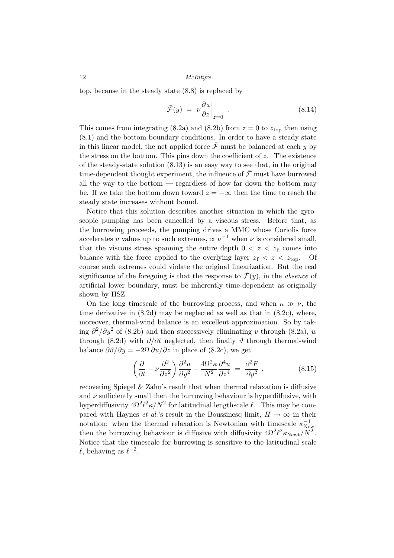top, because in the steady state (8.8) is replaced by

$$
\bar{\mathcal{F}}(y) = \nu \frac{\partial u}{\partial z} \bigg|_{z=0} \tag{8.14}
$$

This comes from integrating (8.2a) and (8.2b) from  $z = 0$  to  $z<sub>top</sub>$  then using (8.1) and the bottom boundary conditions. In order to have a steady state in this linear model, the net applied force  $\bar{\mathcal{F}}$  must be balanced at each y by the stress on the bottom. This pins down the coefficient of  $z$ . The existence of the steady-state solution (8.13) is an easy way to see that, in the original time-dependent thought experiment, the influence of  $\bar{\mathcal{F}}$  must have burrowed all the way to the bottom — regardless of how far down the bottom may be. If we take the bottom down toward  $z = -\infty$  then the time to reach the steady state increases without bound.

Notice that this solution describes another situation in which the gyroscopic pumping has been cancelled by a viscous stress. Before that, as the burrowing proceeds, the pumping drives a MMC whose Coriolis force accelerates u values up to such extremes,  $\propto \nu^{-1}$  when  $\nu$  is considered small, that the viscous stress spanning the entire depth  $0 < z < z_f$  comes into balance with the force applied to the overlying layer  $z_f < z < z_{\text{top}}$ . Of course such extremes could violate the original linearization. But the real significance of the foregoing is that the response to  $\bar{\mathcal{F}}(y)$ , in the *absence* of artificial lower boundary, must be inherently time-dependent as originally shown by HSZ.

On the long timescale of the burrowing process, and when  $\kappa \gg \nu$ , the time derivative in (8.2d) may be neglected as well as that in (8.2c), where, moreover, thermal-wind balance is an excellent approximation. So by taking  $\partial^2/\partial y^2$  of (8.2b) and then successively eliminating v through (8.2a), w through (8.2d) with  $\partial/\partial t$  neglected, then finally  $\vartheta$  through thermal-wind balance  $\partial \vartheta / \partial y = -2\Omega \partial u / \partial z$  in place of (8.2c), we get

$$
\left(\frac{\partial}{\partial t} - \nu \frac{\partial^2}{\partial z^2}\right) \frac{\partial^2 u}{\partial y^2} - \frac{4\Omega^2 \kappa}{N^2} \frac{\partial^4 u}{\partial z^4} = \frac{\partial^2 \bar{F}}{\partial y^2} ,\qquad (8.15)
$$

recovering Spiegel & Zahn's result that when thermal relaxation is diffusive and  $\nu$  sufficiently small then the burrowing behaviour is hyperdiffusive, with hyperdiffusivity  $4\Omega^2 \ell^2 \kappa/N^2$  for latitudinal lengthscale  $\ell$ . This may be compared with Haynes *et al.*'s result in the Boussinesq limit,  $H \to \infty$  in their notation: when the thermal relaxation is Newtonian with timescale  $\kappa_{Ne}^{-1}$ Newt then the burrowing behaviour is diffusive with diffusivity  $4\Omega^2 \ell^2 \kappa_{\text{Newt}}/N^2$ . Notice that the timescale for burrowing is sensitive to the latitudinal scale  $\ell$ , behaving as  $\ell^{-2}$ .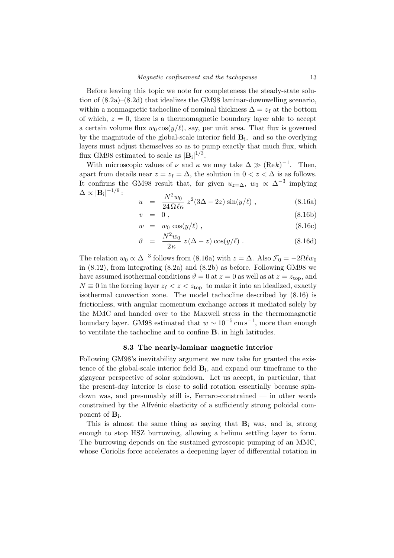Before leaving this topic we note for completeness the steady-state solution of (8.2a)–(8.2d) that idealizes the GM98 laminar-downwelling scenario, within a nonmagnetic tachocline of nominal thickness  $\Delta = z_f$  at the bottom of which,  $z = 0$ , there is a thermomagnetic boundary layer able to accept a certain volume flux  $w_0 \cos(y/\ell)$ , say, per unit area. That flux is governed by the magnitude of the global-scale interior field  $B_i$ , and so the overlying layers must adjust themselves so as to pump exactly that much flux, which flux GM98 estimated to scale as  $|\mathbf{B}_i|^{1/3}$ .

With microscopic values of  $\nu$  and  $\kappa$  we may take  $\Delta \gg (\text{Re} k)^{-1}$ . Then, apart from details near  $z = z_f = \Delta$ , the solution in  $0 < z < \Delta$  is as follows. It confirms the GM98 result that, for given  $u_{z=\Delta}$ ,  $w_0 \propto \Delta^{-3}$  implying  $\Delta \propto |\mathbf{B}_\text{i}|^{-1/9}$  :  $\overline{1}$ 

$$
u = \frac{N^2 w_0}{24 \Omega \ell \kappa} z^2 (3\Delta - 2z) \sin(y/\ell) , \qquad (8.16a)
$$

$$
v = 0, \t\t(8.16b)
$$

$$
w = w_0 \cos(y/\ell) , \qquad (8.16c)
$$

$$
\vartheta = \frac{N^2 w_0}{2\kappa} z(\Delta - z) \cos(y/\ell) . \qquad (8.16d)
$$

The relation  $w_0 \propto \Delta^{-3}$  follows from (8.16a) with  $z = \Delta$ . Also  $\mathcal{F}_0 = -2\Omega \ell w_0$ in (8.12), from integrating (8.2a) and (8.2b) as before. Following GM98 we have assumed isothermal conditions  $\vartheta = 0$  at  $z = 0$  as well as at  $z = z_{\text{top}}$ , and  $N \equiv 0$  in the forcing layer  $z_f < z < z_{top}$  to make it into an idealized, exactly isothermal convection zone. The model tachocline described by (8.16) is frictionless, with angular momentum exchange across it mediated solely by the MMC and handed over to the Maxwell stress in the thermomagnetic boundary layer. GM98 estimated that  $w \sim 10^{-5}$  cm s<sup>-1</sup>, more than enough to ventilate the tachocline and to confine  $B_i$  in high latitudes.

#### 8.3 The nearly-laminar magnetic interior

Following GM98's inevitability argument we now take for granted the existence of the global-scale interior field  $B_i$ , and expand our timeframe to the gigayear perspective of solar spindown. Let us accept, in particular, that the present-day interior is close to solid rotation essentially because spindown was, and presumably still is, Ferraro-constrained — in other words constrained by the Alfvénic elasticity of a sufficiently strong poloidal component of  $B_i$ .

This is almost the same thing as saying that  $B_i$  was, and is, strong enough to stop HSZ burrowing, allowing a helium settling layer to form. The burrowing depends on the sustained gyroscopic pumping of an MMC, whose Coriolis force accelerates a deepening layer of differential rotation in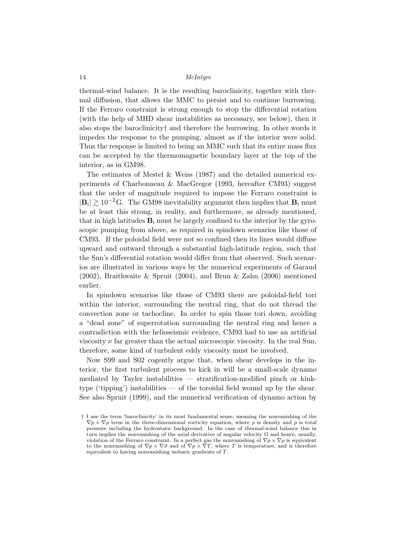thermal-wind balance. It is the resulting baroclinicity, together with thermal diffusion, that allows the MMC to persist and to continue burrowing. If the Ferraro constraint is strong enough to stop the differential rotation (with the help of MHD shear instabilities as necessary, see below), then it also stops the baroclinicity† and therefore the burrowing. In other words it impedes the response to the pumping, almost as if the interior were solid. Thus the response is limited to being an MMC such that its entire mass flux can be accepted by the thermomagnetic boundary layer at the top of the interior, as in GM98.

The estimates of Mestel & Weiss (1987) and the detailed numerical experiments of Charbonneau & MacGregor (1993, hereafter CM93) suggest that the order of magnitude required to impose the Ferraro constraint is  $|\mathbf{B}_i| \gtrsim 10^{-2} \text{G}$ . The GM98 inevitability argument then implies that  $\mathbf{B}_i$  must be at least this strong, in reality, and furthermore, as already mentioned, that in high latitudes  $B_i$  must be largely confined to the interior by the gyroscopic pumping from above, as required in spindown scenarios like those of CM93. If the poloidal field were not so confined then its lines would diffuse upward and outward through a substantial high-latitude region, such that the Sun's differential rotation would differ from that observed. Such scenarios are illustrated in various ways by the numerical experiments of Garaud (2002), Braithwaite & Spruit (2004), and Brun & Zahn (2006) mentioned earlier.

In spindown scenarios like those of CM93 there are poloidal-field tori within the interior, surrounding the neutral ring, that do not thread the convection zone or tachocline. In order to spin those tori down, avoiding a "dead zone" of superrotation surrounding the neutral ring and hence a contradiction with the helioseismic evidence, CM93 had to use an artificial viscosity  $\nu$  far greater than the actual microscopic viscosity. In the real Sun, therefore, some kind of turbulent eddy viscosity must be involved.

Now S99 and S02 cogently argue that, when shear develops in the interior, the first turbulent process to kick in will be a small-scale dynamo mediated by Tayler instabilities — stratification-modified pinch or kinktype ('tipping') instabilities — of the toroidal field wound up by the shear. See also Spruit (1999), and the numerical verification of dynamo action by

<sup>†</sup> I use the term 'baroclinicity' in its most fundamental sense, meaning the nonvanishing of the  $\nabla p \times \nabla \rho$  term in the three-dimensional vorticity equation, where  $\rho$  is density and p is total pressure including the hydrostatic background. In the case of thermal-wind balance this in turn implies the nonvanishing of the axial derivative of angular velocity  $\Omega$  and hence, usually, violation of the Ferraro constraint. In a perfect gas the nonvanishing of  $\nabla p \times \nabla \rho$  is equivalent to the nonvanishing of  $\nabla p \times \nabla \vartheta$  and of  $\nabla p \times \nabla T$ , where T is temperature, and is therefore equivalent to having nonvanishing isobaric gradients of T.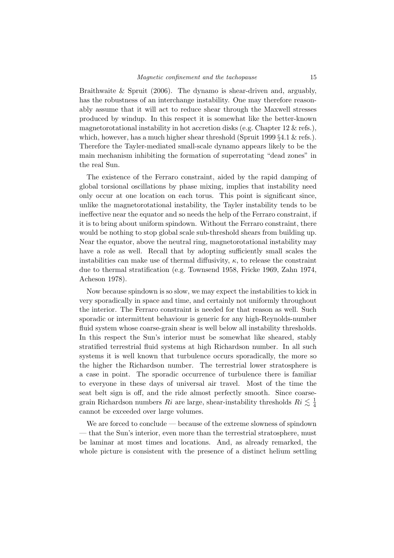Braithwaite & Spruit (2006). The dynamo is shear-driven and, arguably, has the robustness of an interchange instability. One may therefore reasonably assume that it will act to reduce shear through the Maxwell stresses produced by windup. In this respect it is somewhat like the better-known magnetorotational instability in hot accretion disks (e.g. Chapter 12  $\&$  refs.), which, however, has a much higher shear threshold (Spruit 1999  $\S 4.1 \&$  refs.). Therefore the Tayler-mediated small-scale dynamo appears likely to be the main mechanism inhibiting the formation of superrotating "dead zones" in the real Sun.

The existence of the Ferraro constraint, aided by the rapid damping of global torsional oscillations by phase mixing, implies that instability need only occur at one location on each torus. This point is significant since, unlike the magnetorotational instability, the Tayler instability tends to be ineffective near the equator and so needs the help of the Ferraro constraint, if it is to bring about uniform spindown. Without the Ferraro constraint, there would be nothing to stop global scale sub-threshold shears from building up. Near the equator, above the neutral ring, magnetorotational instability may have a role as well. Recall that by adopting sufficiently small scales the instabilities can make use of thermal diffusivity,  $\kappa$ , to release the constraint due to thermal stratification (e.g. Townsend 1958, Fricke 1969, Zahn 1974, Acheson 1978).

Now because spindown is so slow, we may expect the instabilities to kick in very sporadically in space and time, and certainly not uniformly throughout the interior. The Ferraro constraint is needed for that reason as well. Such sporadic or intermittent behaviour is generic for any high-Reynolds-number fluid system whose coarse-grain shear is well below all instability thresholds. In this respect the Sun's interior must be somewhat like sheared, stably stratified terrestrial fluid systems at high Richardson number. In all such systems it is well known that turbulence occurs sporadically, the more so the higher the Richardson number. The terrestrial lower stratosphere is a case in point. The sporadic occurrence of turbulence there is familiar to everyone in these days of universal air travel. Most of the time the seat belt sign is off, and the ride almost perfectly smooth. Since coarsegrain Richardson numbers Ri are large, shear-instability thresholds  $Ri \lesssim \frac{1}{4}$ 4 cannot be exceeded over large volumes.

We are forced to conclude — because of the extreme slowness of spindown — that the Sun's interior, even more than the terrestrial stratosphere, must be laminar at most times and locations. And, as already remarked, the whole picture is consistent with the presence of a distinct helium settling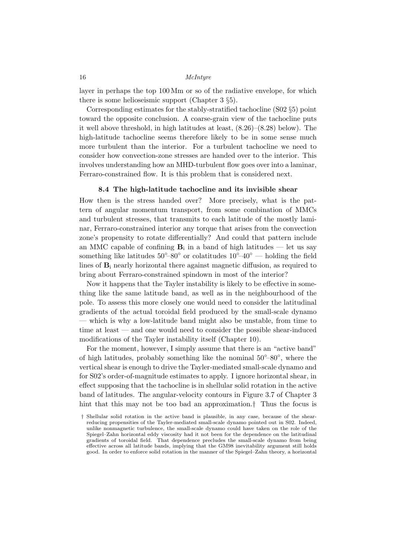layer in perhaps the top 100 Mm or so of the radiative envelope, for which there is some helioseismic support (Chapter 3 §5).

Corresponding estimates for the stably-stratified tachocline (S02 §5) point toward the opposite conclusion. A coarse-grain view of the tachocline puts it well above threshold, in high latitudes at least, (8.26)–(8.28) below). The high-latitude tachocline seems therefore likely to be in some sense much more turbulent than the interior. For a turbulent tachocline we need to consider how convection-zone stresses are handed over to the interior. This involves understanding how an MHD-turbulent flow goes over into a laminar, Ferraro-constrained flow. It is this problem that is considered next.

#### 8.4 The high-latitude tachocline and its invisible shear

How then is the stress handed over? More precisely, what is the pattern of angular momentum transport, from some combination of MMCs and turbulent stresses, that transmits to each latitude of the mostly laminar, Ferraro-constrained interior any torque that arises from the convection zone's propensity to rotate differentially? And could that pattern include an MMC capable of confining  $B_i$  in a band of high latitudes — let us say something like latitudes  $50^{\circ} - 80^{\circ}$  or colatitudes  $10^{\circ} - 40^{\circ}$  — holding the field lines of  $\mathbf{B}_i$  nearly horizontal there against magnetic diffusion, as required to bring about Ferraro-constrained spindown in most of the interior?

Now it happens that the Tayler instability is likely to be effective in something like the same latitude band, as well as in the neighbourhood of the pole. To assess this more closely one would need to consider the latitudinal gradients of the actual toroidal field produced by the small-scale dynamo — which is why a low-latitude band might also be unstable, from time to time at least — and one would need to consider the possible shear-induced modifications of the Tayler instability itself (Chapter 10).

For the moment, however, I simply assume that there is an "active band" of high latitudes, probably something like the nominal  $50^{\circ}-80^{\circ}$ , where the vertical shear is enough to drive the Tayler-mediated small-scale dynamo and for S02's order-of-magnitude estimates to apply. I ignore horizontal shear, in effect supposing that the tachocline is in shellular solid rotation in the active band of latitudes. The angular-velocity contours in Figure 3.7 of Chapter 3 hint that this may not be too bad an approximation.<sup>†</sup> Thus the focus is

<sup>†</sup> Shellular solid rotation in the active band is plausible, in any case, because of the shearreducing propensities of the Tayler-mediated small-scale dynamo pointed out in S02. Indeed, unlike nonmagnetic turbulence, the small-scale dynamo could have taken on the role of the Spiegel–Zahn horizontal eddy viscosity had it not been for the dependence on the latitudinal gradients of toroidal field. That dependence precludes the small-scale dynamo from being effective across all latitude bands, implying that the GM98 inevitability argument still holds good. In order to enforce solid rotation in the manner of the Spiegel–Zahn theory, a horizontal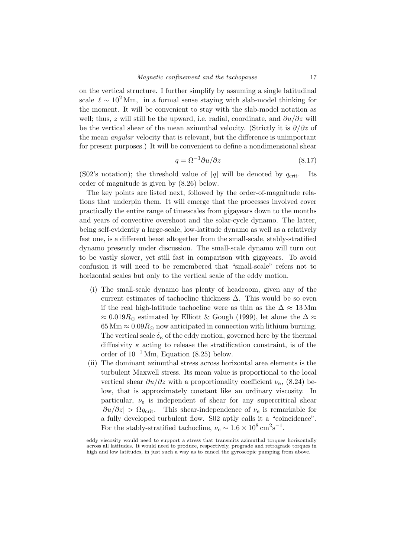on the vertical structure. I further simplify by assuming a single latitudinal scale  $\ell \sim 10^2$  Mm, in a formal sense staying with slab-model thinking for the moment. It will be convenient to stay with the slab-model notation as well; thus, z will still be the upward, i.e. radial, coordinate, and  $\partial u/\partial z$  will be the vertical shear of the mean azimuthal velocity. (Strictly it is  $\partial/\partial z$  of the mean angular velocity that is relevant, but the difference is unimportant for present purposes.) It will be convenient to define a nondimensional shear

$$
q = \Omega^{-1} \partial u / \partial z \tag{8.17}
$$

(S02's notation); the threshold value of |q| will be denoted by  $q_{\text{crit}}$ . Its order of magnitude is given by (8.26) below.

The key points are listed next, followed by the order-of-magnitude relations that underpin them. It will emerge that the processes involved cover practically the entire range of timescales from gigayears down to the months and years of convective overshoot and the solar-cycle dynamo. The latter, being self-evidently a large-scale, low-latitude dynamo as well as a relatively fast one, is a different beast altogether from the small-scale, stably-stratified dynamo presently under discussion. The small-scale dynamo will turn out to be vastly slower, yet still fast in comparison with gigayears. To avoid confusion it will need to be remembered that "small-scale" refers not to horizontal scales but only to the vertical scale of the eddy motion.

- (i) The small-scale dynamo has plenty of headroom, given any of the current estimates of tachocline thickness  $\Delta$ . This would be so even if the real high-latitude tachocline were as thin as the  $\Delta \approx 13$  Mm  $\approx 0.019 R_{\odot}$  estimated by Elliott & Gough (1999), let alone the  $\Delta \approx$  $65 \text{ Mm} \approx 0.09 R_{\odot}$  now anticipated in connection with lithium burning. The vertical scale  $\delta_{\kappa}$  of the eddy motion, governed here by the thermal diffusivity  $\kappa$  acting to release the stratification constraint, is of the order of  $10^{-1}$  Mm, Equation (8.25) below.
- (ii) The dominant azimuthal stress across horizontal area elements is the turbulent Maxwell stress. Its mean value is proportional to the local vertical shear  $\partial u/\partial z$  with a proportionality coefficient  $\nu_e$ , (8.24) below, that is approximately constant like an ordinary viscosity. In particular,  $\nu_e$  is independent of shear for any supercritical shear  $|\partial u/\partial z| > \Omega q_{\rm crit}$ . This shear-independence of  $\nu_e$  is remarkable for a fully developed turbulent flow. S02 aptly calls it a "coincidence". For the stably-stratified tachocline,  $\nu_e \sim 1.6 \times 10^8 \,\text{cm}^2 \text{s}^{-1}$ .

eddy viscosity would need to support a stress that transmits azimuthal torques horizontally across all latitudes. It would need to produce, respectively, prograde and retrograde torques in high and low latitudes, in just such a way as to cancel the gyroscopic pumping from above.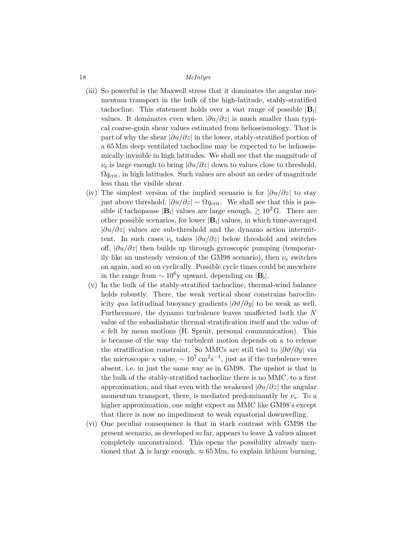- (iii) So powerful is the Maxwell stress that it dominates the angular momentum transport in the bulk of the high-latitude, stably-stratified tachocline. This statement holds over a vast range of possible  $|\mathbf{B}_i|$ values. It dominates even when  $|\partial u/\partial z|$  is much smaller than typical coarse-grain shear values estimated from helioseismology. That is part of why the shear  $|\partial u/\partial z|$  in the lower, stably-stratified portion of a 65 Mm deep ventilated tachocline may be expected to be helioseismically invisible in high latitudes. We shall see that the magnitude of  $\nu_e$  is large enough to bring  $|\partial u/\partial z|$  down to values close to threshold,  $\Omega_{\text{Gcrit}}$ , in high latitudes. Such values are about an order of magnitude less than the visible shear.
- (iv) The simplest version of the implied scenario is for  $|\partial u/\partial z|$  to stay just above threshold,  $|\partial u/\partial z| \sim \Omega q_{\rm crit}$ . We shall see that this is possible if tachopause  $|\mathbf{B}_i|$  values are large enough,  $\gtrsim 10^2$  G. There are other possible scenarios, for lower  $|\mathbf{B}_i|$  values, in which time-averaged  $|\partial u/\partial z|$  values are sub-threshold and the dynamo action intermittent. In such cases  $\nu_e$  takes  $|\partial u/\partial z|$  below threshold and switches off, |∂u/∂z| then builds up through gyroscopic pumping (temporarily like an unsteady version of the GM98 scenario), then  $\nu_e$  switches on again, and so on cyclically. Possible cycle times could be anywhere in the range from  $\sim 10^6$ y upward, depending on |**B**<sub>i</sub>|.
- (v) In the bulk of the stably-stratified tachocline, thermal-wind balance holds robustly. There, the weak vertical shear constrains baroclinicity qua latitudinal buoyancy gradients  $|\partial \vartheta / \partial y|$  to be weak as well. Furthermore, the dynamo turbulence leaves unaffected both the N value of the subadiabatic thermal stratification itself and the value of  $\kappa$  felt by mean motions (H. Spruit, personal communication). This is because of the way the turbulent motion depends on  $\kappa$  to release the stratification constraint. So MMCs are still tied to  $\left|\partial \vartheta / \partial y\right|$  via the microscopic  $\kappa$  value,  $\sim 10^7 \,\mathrm{cm}^2 \mathrm{s}^{-1}$ , just as if the turbulence were absent, i.e. in just the same way as in GM98. The upshot is that in the bulk of the stably-stratified tachocline there is no MMC, to a first approximation, and that even with the weakened  $|\partial u/\partial z|$  the angular momentum transport, there, is mediated predominantly by  $\nu_e$ . To a higher approximation, one might expect an MMC like GM98's except that there is now no impediment to weak equatorial downwelling.
- (vi) One peculiar consequence is that in stark contrast with GM98 the present scenario, as developed so far, appears to leave  $\Delta$  values almost completely unconstrained. This opens the possibility already mentioned that  $\Delta$  is large enough,  $\approx 65$  Mm, to explain lithium burning,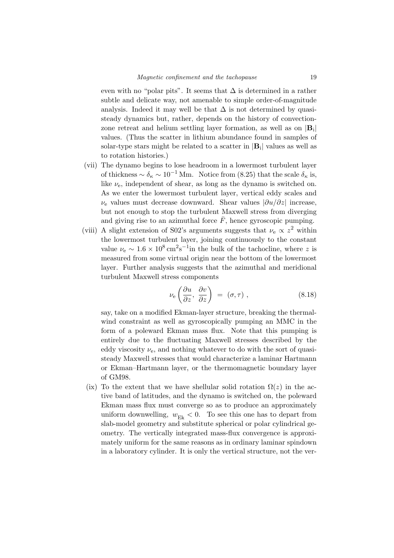even with no "polar pits". It seems that  $\Delta$  is determined in a rather subtle and delicate way, not amenable to simple order-of-magnitude analysis. Indeed it may well be that  $\Delta$  is not determined by quasisteady dynamics but, rather, depends on the history of convectionzone retreat and helium settling layer formation, as well as on  $|\mathbf{B}_i|$ values. (Thus the scatter in lithium abundance found in samples of solar-type stars might be related to a scatter in  $|\mathbf{B}_i|$  values as well as to rotation histories.)

- (vii) The dynamo begins to lose headroom in a lowermost turbulent layer of thickness ~  $\delta_{\kappa} \sim 10^{-1}$  Mm. Notice from (8.25) that the scale  $\delta_{\kappa}$  is, like  $\nu_e$ , independent of shear, as long as the dynamo is switched on. As we enter the lowermost turbulent layer, vertical eddy scales and  $\nu_e$  values must decrease downward. Shear values  $|\partial u/\partial z|$  increase, but not enough to stop the turbulent Maxwell stress from diverging and giving rise to an azimuthal force  $\bar{F}$ , hence gyroscopic pumping.
- (viii) A slight extension of S02's arguments suggests that  $\nu_e \propto z^2$  within the lowermost turbulent layer, joining continuously to the constant value  $\nu_e \sim 1.6 \times 10^8 \,\mathrm{cm}^2 \mathrm{s}^{-1}$  in the bulk of the tachocline, where z is measured from some virtual origin near the bottom of the lowermost layer. Further analysis suggests that the azimuthal and meridional turbulent Maxwell stress components

$$
\nu_{\rm e} \left( \frac{\partial u}{\partial z}, \frac{\partial v}{\partial z} \right) = (\sigma, \tau) , \qquad (8.18)
$$

say, take on a modified Ekman-layer structure, breaking the thermalwind constraint as well as gyroscopically pumping an MMC in the form of a poleward Ekman mass flux. Note that this pumping is entirely due to the fluctuating Maxwell stresses described by the eddy viscosity  $\nu_e$ , and nothing whatever to do with the sort of quasisteady Maxwell stresses that would characterize a laminar Hartmann or Ekman–Hartmann layer, or the thermomagnetic boundary layer of GM98.

(ix) To the extent that we have shellular solid rotation  $\Omega(z)$  in the active band of latitudes, and the dynamo is switched on, the poleward Ekman mass flux must converge so as to produce an approximately uniform downwelling,  $w_{E_k} < 0$ . To see this one has to depart from slab-model geometry and substitute spherical or polar cylindrical geometry. The vertically integrated mass-flux convergence is approximately uniform for the same reasons as in ordinary laminar spindown in a laboratory cylinder. It is only the vertical structure, not the ver-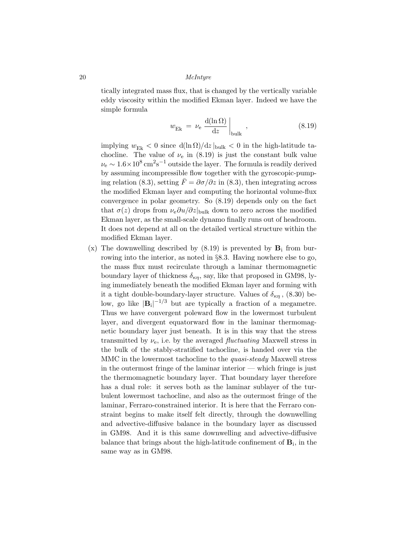tically integrated mass flux, that is changed by the vertically variable eddy viscosity within the modified Ekman layer. Indeed we have the simple formula

$$
w_{\text{Ek}} = \nu_{\text{e}} \left. \frac{\text{d}(\ln \Omega)}{\text{d}z} \right|_{\text{bulk}} , \qquad (8.19)
$$

implying  $w_{\text{Fk}} < 0$  since  $d(\ln \Omega)/dz$  bulk  $< 0$  in the high-latitude tachocline. The value of  $\nu_e$  in (8.19) is just the constant bulk value  $\nu_{\rm e} \sim 1.6 \times 10^8 \, \rm cm^2 s^{-1}$  outside the layer. The formula is readily derived by assuming incompressible flow together with the gyroscopic-pumping relation (8.3), setting  $\bar{F} = \partial \sigma / \partial z$  in (8.3), then integrating across the modified Ekman layer and computing the horizontal volume-flux convergence in polar geometry. So (8.19) depends only on the fact that  $\sigma(z)$  drops from  $\nu_{\rm e}\partial u/\partial z|_{\rm bulk}$  down to zero across the modified Ekman layer, as the small-scale dynamo finally runs out of headroom. It does not depend at all on the detailed vertical structure within the modified Ekman layer.

(x) The downwelling described by  $(8.19)$  is prevented by  $\mathbf{B}_i$  from burrowing into the interior, as noted in §8.3. Having nowhere else to go, the mass flux must recirculate through a laminar thermomagnetic boundary layer of thickness  $\delta_{\kappa\eta}$ , say, like that proposed in GM98, lying immediately beneath the modified Ekman layer and forming with it a tight double-boundary-layer structure. Values of  $\delta_{\kappa n}$ , (8.30) below, go like  $|\mathbf{B}_i|^{-1/3}$  but are typically a fraction of a megametre. Thus we have convergent poleward flow in the lowermost turbulent layer, and divergent equatorward flow in the laminar thermomagnetic boundary layer just beneath. It is in this way that the stress transmitted by  $\nu_e$ , i.e. by the averaged *fluctuating* Maxwell stress in the bulk of the stably-stratified tachocline, is handed over via the MMC in the lowermost tachocline to the quasi-steady Maxwell stress in the outermost fringe of the laminar interior — which fringe is just the thermomagnetic boundary layer. That boundary layer therefore has a dual role: it serves both as the laminar sublayer of the turbulent lowermost tachocline, and also as the outermost fringe of the laminar, Ferraro-constrained interior. It is here that the Ferraro constraint begins to make itself felt directly, through the downwelling and advective-diffusive balance in the boundary layer as discussed in GM98. And it is this same downwelling and advective-diffusive balance that brings about the high-latitude confinement of  $B_i$ , in the same way as in GM98.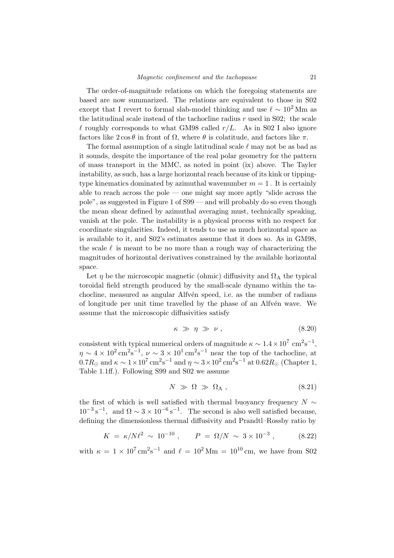The order-of-magnitude relations on which the foregoing statements are based are now summarized. The relations are equivalent to those in S02 except that I revert to formal slab-model thinking and use  $\ell \sim 10^2$  Mm as the latitudinal scale instead of the tachocline radius  $r$  used in S02; the scale  $\ell$  roughly corresponds to what GM98 called  $r/L$ . As in S02 I also ignore factors like  $2 \cos \theta$  in front of  $\Omega$ , where  $\theta$  is colatitude, and factors like  $\pi$ .

The formal assumption of a single latitudinal scale  $\ell$  may not be as bad as it sounds, despite the importance of the real polar geometry for the pattern of mass transport in the MMC, as noted in point (ix) above. The Tayler instability, as such, has a large horizontal reach because of its kink or tippingtype kinematics dominated by azimuthal wavenumber  $m = 1$ . It is certainly able to reach across the pole — one might say more aptly "slide across the pole", as suggested in Figure 1 of S99 — and will probably do so even though the mean shear defined by azimuthal averaging must, technically speaking, vanish at the pole. The instability is a physical process with no respect for coordinate singularities. Indeed, it tends to use as much horizontal space as is available to it, and S02's estimates assume that it does so. As in GM98, the scale  $\ell$  is meant to be no more than a rough way of characterizing the magnitudes of horizontal derivatives constrained by the available horizontal space.

Let  $\eta$  be the microscopic magnetic (ohmic) diffusivity and  $\Omega_A$  the typical toroidal field strength produced by the small-scale dynamo within the tachocline, measured as angular Alfvén speed, i.e. as the number of radians of longitude per unit time travelled by the phase of an Alfvén wave. We assume that the microscopic diffusivities satisfy

$$
\kappa \gg \eta \gg \nu \,, \tag{8.20}
$$

consistent with typical numerical orders of magnitude  $\kappa \sim 1.4 \times 10^7 \text{ cm}^2 \text{s}^{-1}$ ,  $\eta \sim 4 \times 10^2 \,\mathrm{cm}^2 \mathrm{s}^{-1}, \nu \sim 3 \times 10^1 \,\mathrm{cm}^2 \mathrm{s}^{-1}$  near the top of the tachocline, at 0.7 $R_{\odot}$  and  $\kappa \sim 1 \times 10^7 \,\mathrm{cm}^2 \mathrm{s}^{-1}$  and  $\eta \sim 3 \times 10^2 \,\mathrm{cm}^2 \mathrm{s}^{-1}$  at 0.62 $R_{\odot}$  (Chapter 1, Table 1.1ff.). Following S99 and S02 we assume

$$
N \gg \Omega \gg \Omega_{\rm A} \,, \tag{8.21}
$$

the first of which is well satisfied with thermal buoyancy frequency  $N \sim$  $10^{-3} \text{ s}^{-1}$ , and  $\Omega \sim 3 \times 10^{-6} \text{ s}^{-1}$ . The second is also well satisfied because, defining the dimensionless thermal diffusivity and Prandtl–Rossby ratio by

$$
K = \kappa/N\ell^2 \sim 10^{-10} , \qquad P = \Omega/N \sim 3 \times 10^{-3} , \tag{8.22}
$$

with  $\kappa = 1 \times 10^7 \,\mathrm{cm}^2 \mathrm{s}^{-1}$  and  $\ell = 10^2 \,\mathrm{Mm} = 10^{10} \,\mathrm{cm}$ , we have from S02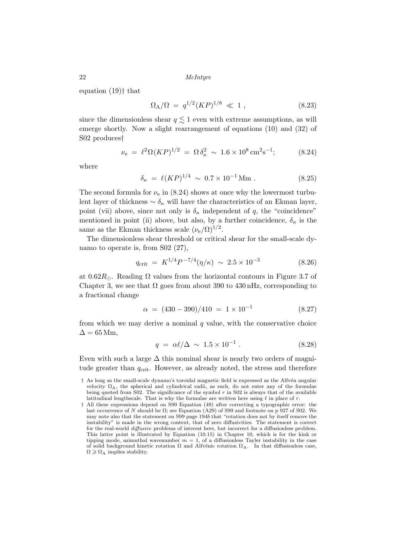equation (19)† that

$$
\Omega_{\rm A}/\Omega = q^{1/2} (KP)^{1/8} \ll 1 , \qquad (8.23)
$$

since the dimensionless shear  $q \leq 1$  even with extreme assumptions, as will emerge shortly. Now a slight rearrangement of equations (10) and (32) of S02 produces†

$$
\nu_{\rm e} = \ell^2 \Omega (KP)^{1/2} = \Omega \delta_{\kappa}^2 \sim 1.6 \times 10^8 \,\rm cm^2 s^{-1}; \tag{8.24}
$$

where

$$
\delta_{\kappa} = \ell (KP)^{1/4} \sim 0.7 \times 10^{-1} \,\mathrm{Mm} \,. \tag{8.25}
$$

The second formula for  $\nu_e$  in (8.24) shows at once why the lowermost turbulent layer of thickness  $\sim \delta_{\kappa}$  will have the characteristics of an Ekman layer, point (vii) above, since not only is  $\delta_{\kappa}$  independent of q, the "coincidence" mentioned in point (ii) above, but also, by a further coincidence,  $\delta_{\kappa}$  is the same as the Ekman thickness scale  $(\nu_e/\Omega)^{1/2}$ .

The dimensionless shear threshold or critical shear for the small-scale dynamo to operate is, from S02 (27),

$$
q_{\rm crit} = K^{1/4} P^{-7/4} (\eta/\kappa) \sim 2.5 \times 10^{-3} \tag{8.26}
$$

at  $0.62R_{\odot}$ . Reading  $\Omega$  values from the horizontal contours in Figure 3.7 of Chapter 3, we see that  $\Omega$  goes from about 390 to 430 nHz, corresponding to a fractional change

$$
\alpha = (430 - 390)/410 = 1 \times 10^{-1}
$$
\n(8.27)

from which we may derive a nominal  $q$  value, with the conservative choice  $\Delta = 65$  Mm,

$$
q = \alpha \ell / \Delta \sim 1.5 \times 10^{-1} . \tag{8.28}
$$

Even with such a large  $\Delta$  this nominal shear is nearly two orders of magnitude greater than  $q_{\text{crit}}$ . However, as already noted, the stress and therefore

 $\dagger$  As long as the small-scale dynamo's toroidal magnetic field is expressed as the Alfvén angular velocity  $\Omega_A$ , the spherical and cylindrical radii, as such, do not enter any of the formulae being quoted from S02. The significance of the symbol  $r$  in S02 is always that of the available latitudinal lengthscale. That is why the formulae are written here using  $\ell$  in place of r.

<sup>†</sup> All these expressions depend on S99 Equation (49) after correcting a typographic error: the last occurrence of N should be  $\Omega$ ; see Equation (A29) of S99 and footnote on p 927 of S02. We may note also that the statement on S99 page 194b that "rotation does not by itself remove the instability" is made in the wrong context, that of zero diffusivities. The statement is correct for the real-world *diffusive* problems of interest here, but incorrect for a diffusionless problem. This latter point is illustrated by Equation (10.15) in Chapter 10, which is for the kink or tipping mode, azimuthal wavenumber  $m = 1$ , of a diffusionless Tayler instability in the case of solid background kinetic rotation  $\Omega$  and Alfvénic rotation  $\Omega_A$ . In that diffusionless case,  $\Omega \geqslant \Omega_A$  implies stability.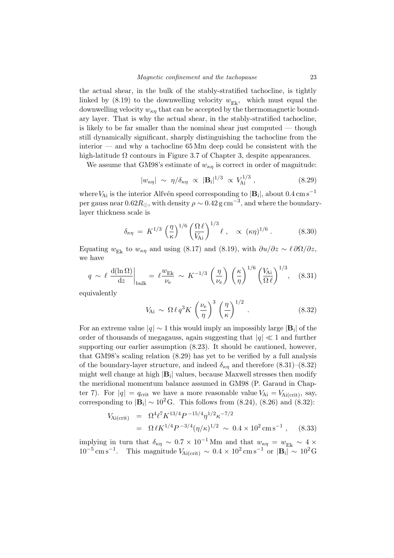the actual shear, in the bulk of the stably-stratified tachocline, is tightly linked by  $(8.19)$  to the downwelling velocity  $w_{\text{E}_k}$ , which must equal the downwelling velocity  $w_{\kappa\eta}$  that can be accepted by the thermomagnetic boundary layer. That is why the actual shear, in the stably-stratified tachocline, is likely to be far smaller than the nominal shear just computed — though still dynamically significant, sharply distinguishing the tachocline from the interior — and why a tachocline  $65 \text{ Mm}$  deep could be consistent with the high-latitude  $\Omega$  contours in Figure 3.7 of Chapter 3, despite appearances.

We assume that GM98's estimate of  $w_{\kappa\eta}$  is correct in order of magnitude:

$$
|w_{\kappa\eta}| \sim \eta/\delta_{\kappa\eta} \propto |\mathbf{B}_{\rm i}|^{1/3} \propto V_{\rm Ai}^{1/3} \,, \tag{8.29}
$$

where  $V_{\rm Ai}$  is the interior Alfvén speed corresponding to  $|\mathbf{B}_{\rm i}|$ , about  $0.4 \text{ cm s}^{-1}$ per gauss near  $0.62 R_{\odot}$ , with density  $\rho \sim 0.42 \, \mathrm{g \, cm^{-3}}$ , and where the boundarylayer thickness scale is

$$
\delta_{\kappa\eta} = K^{1/3} \left(\frac{\eta}{\kappa}\right)^{1/6} \left(\frac{\Omega \ell}{V_{\text{Ai}}}\right)^{1/3} \ell \;, \quad \propto \; (\kappa \eta)^{1/6} \; . \tag{8.30}
$$

Equating  $w_{\text{Ek}}$  to  $w_{\kappa\eta}$  and using (8.17) and (8.19), with  $\partial u/\partial z \sim \ell \partial \Omega/\partial z$ , we have

$$
q \sim \ell \left. \frac{d(\ln \Omega)}{dz} \right|_{\text{bulk}} = \ell \frac{w_{\text{Ek}}}{\nu_{\text{e}}} \sim K^{-1/3} \left( \frac{\eta}{\nu_{\text{e}}} \right) \left( \frac{\kappa}{\eta} \right)^{1/6} \left( \frac{V_{\text{Ai}}}{\Omega \ell} \right)^{1/3}, \quad (8.31)
$$

equivalently

$$
V_{\rm Ai} \sim \Omega \ell q^3 K \left(\frac{\nu_{\rm e}}{\eta}\right)^3 \left(\frac{\eta}{\kappa}\right)^{1/2} . \tag{8.32}
$$

For an extreme value  $|q| \sim 1$  this would imply an impossibly large  $|\mathbf{B}_i|$  of the order of thousands of megagauss, again suggesting that  $|q| \ll 1$  and further supporting our earlier assumption (8.23). It should be cautioned, however, that GM98's scaling relation (8.29) has yet to be verified by a full analysis of the boundary-layer structure, and indeed  $\delta_{\kappa\eta}$  and therefore (8.31)–(8.32) might well change at high  $|\mathbf{B}_i|$  values, because Maxwell stresses then modify the meridional momentum balance assumed in GM98 (P. Garaud in Chapter 7). For  $|q| = q_{\rm crit}$  we have a more reasonable value  $V_{\rm Ai} = V_{\rm Ai(crit)}$ , say, corresponding to  $|\mathbf{B}_i| \sim 10^2 \text{G}$ . This follows from (8.24), (8.26) and (8.32):

$$
V_{\text{Ai(crit)}} = \Omega^4 \ell^7 K^{13/4} P^{-15/4} \eta^{1/2} \kappa^{-7/2}
$$
  
=  $\Omega \ell K^{1/4} P^{-3/4} (\eta/\kappa)^{1/2} \sim 0.4 \times 10^2 \text{ cm s}^{-1} ,$  (8.33)

implying in turn that  $\delta_{\kappa\eta} \sim 0.7 \times 10^{-1}$  Mm and that  $w_{\kappa\eta} = w_{E\mathbf{k}} \sim 4 \times 10^{-1}$  $10^{-5}$  cm s<sup>-1</sup>. This magnitude  $V_{\text{Ai(crit)}} \sim 0.4 \times 10^2$  cm s<sup>-1</sup> or  $|\mathbf{B}_i| \sim 10^2$  G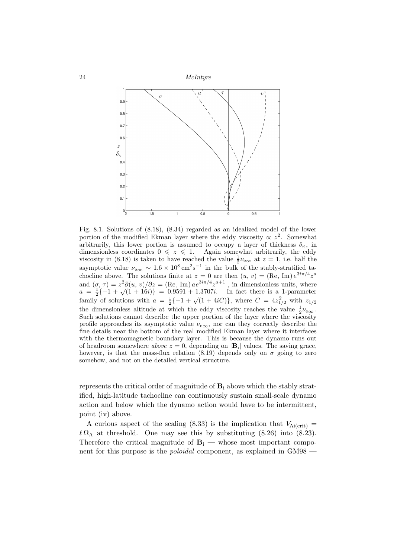

Fig. 8.1. Solutions of (8.18), (8.34) regarded as an idealized model of the lower portion of the modified Ekman layer where the eddy viscosity  $\propto z^2$ . Somewhat arbitrarily, this lower portion is assumed to occupy a layer of thickness  $\delta_{\kappa}$ , in dimensionless coordinates  $0 \leq z \leq 1$ . Again somewhat arbitrarily, the eddy viscosity in (8.18) is taken to have reached the value  $\frac{1}{2}\nu_{e\infty}$  at  $z=1$ , i.e. half the asymptotic value  $\nu_{e\infty} \sim 1.6 \times 10^8 \,\mathrm{cm}^2\mathrm{s}^{-1}$  in the bulk of the stably-stratified tachocline above. The solutions finite at  $z = 0$  are then  $(u, v) = (\text{Re}, \text{Im}) e^{3i\pi/4} z^a$ and  $(\sigma, \tau) = z^2 \partial(u, v) / \partial z = (\text{Re}, \text{Im}) a e^{3i\pi/4} z^{a+1}$ , in dimensionless units, where  $a = \frac{1}{2} \{-1 + \sqrt{(1 + 16i)}\} = 0.9591 + 1.3707i.$  In fact there is a 1-parameter family of solutions with  $a = \frac{1}{2} \{-1 + \sqrt{(1 + 4iC)}\}$ , where  $C = 4z_{1/2}^2$  with  $z_{1/2}$ the dimensionless altitude at which the eddy viscosity reaches the value  $\frac{1}{2}\nu_{e\infty}$ . Such solutions cannot describe the upper portion of the layer where the viscosity profile approaches its asymptotic value  $\nu_{e\infty}$ , nor can they correctly describe the fine details near the bottom of the real modified Ekman layer where it interfaces with the thermomagnetic boundary layer. This is because the dynamo runs out of headroom somewhere *above*  $z = 0$ , depending on  $|\mathbf{B}_i|$  values. The saving grace, however, is that the mass-flux relation (8.19) depends only on  $\sigma$  going to zero somehow, and not on the detailed vertical structure.

represents the critical order of magnitude of  $B_i$  above which the stably stratified, high-latitude tachocline can continuously sustain small-scale dynamo action and below which the dynamo action would have to be intermittent, point (iv) above.

A curious aspect of the scaling (8.33) is the implication that  $V_{\text{Ai(crit)}} =$  $\ell \Omega_A$  at threshold. One may see this by substituting (8.26) into (8.23). Therefore the critical magnitude of  $B_i$  — whose most important component for this purpose is the *poloidal* component, as explained in GM98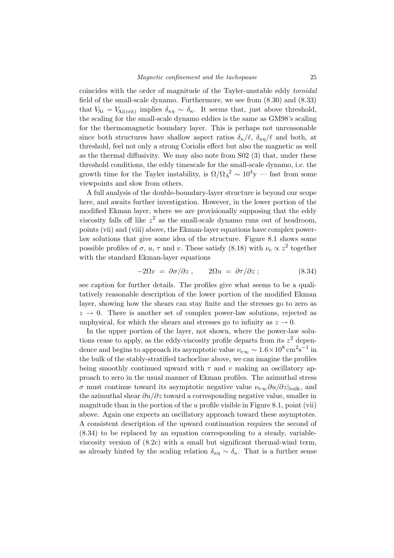coincides with the order of magnitude of the Tayler-unstable eddy toroidal field of the small-scale dynamo. Furthermore, we see from (8.30) and (8.33) that  $V_{\rm Ai} = V_{\rm Ai(crit)}$  implies  $\delta_{\kappa\eta} \sim \delta_{\kappa}$ . It seems that, just above threshold, the scaling for the small-scale dynamo eddies is the same as GM98's scaling for the thermomagnetic boundary layer. This is perhaps not unreasonable since both structures have shallow aspect ratios  $\delta_{\kappa}/\ell$ ,  $\delta_{\kappa\eta}/\ell$  and both, at threshold, feel not only a strong Coriolis effect but also the magnetic as well as the thermal diffusivity. We may also note from S02 (3) that, under these threshold conditions, the eddy timescale for the small-scale dynamo, i.e. the growth time for the Tayler instability, is  $\Omega/\Omega_A^2 \sim 10^4$ y — fast from some viewpoints and slow from others.

A full analysis of the double-boundary-layer structure is beyond our scope here, and awaits further investigation. However, in the lower portion of the modified Ekman layer, where we are provisionally supposing that the eddy viscosity falls off like  $z^2$  as the small-scale dynamo runs out of headroom, points (vii) and (viii) above, the Ekman-layer equations have complex powerlaw solutions that give some idea of the structure. Figure 8.1 shows some possible profiles of  $\sigma$ ,  $u$ ,  $\tau$  and  $v$ . These satisfy (8.18) with  $\nu_e \propto z^2$  together with the standard Ekman-layer equations

$$
-2\Omega v = \partial \sigma/\partial z, \qquad 2\Omega u = \partial \tau/\partial z; \qquad (8.34)
$$

see caption for further details. The profiles give what seems to be a qualitatively reasonable description of the lower portion of the modified Ekman layer, showing how the shears can stay finite and the stresses go to zero as  $z \rightarrow 0$ . There is another set of complex power-law solutions, rejected as unphysical, for which the shears and stresses go to infinity as  $z \to 0$ .

In the upper portion of the layer, not shown, where the power-law solutions cease to apply, as the eddy-viscosity profile departs from its  $z^2$  dependence and begins to approach its asymptotic value  $\nu_{e\infty} \sim 1.6 \times 10^8 \,\text{cm}^2 \text{s}^{-1}$  in the bulk of the stably-stratified tachocline above, we can imagine the profiles being smoothly continued upward with  $\tau$  and v making an oscillatory approach to zero in the usual manner of Ekman profiles. The azimuthal stress σ must continue toward its asymptotic negative value  $\nu_{e\infty} \partial u/\partial z|_{\text{bulk}}$ , and the azimuthal shear  $\partial u/\partial z$  toward a corresponding negative value, smaller in magnitude than in the portion of the u profile visible in Figure 8.1, point (vii) above. Again one expects an oscillatory approach toward these asymptotes. A consistent description of the upward continuation requires the second of (8.34) to be replaced by an equation corresponding to a steady, variableviscosity version of (8.2c) with a small but significant thermal-wind term, as already hinted by the scaling relation  $\delta_{\kappa\eta} \sim \delta_{\kappa}$ . That is a further sense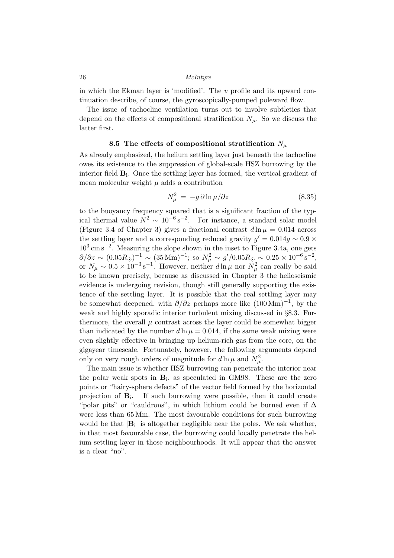in which the Ekman layer is 'modified'. The  $v$  profile and its upward continuation describe, of course, the gyroscopically-pumped poleward flow.

The issue of tachocline ventilation turns out to involve subtleties that depend on the effects of compositional stratification  $N_{\mu}$ . So we discuss the latter first.

# 8.5 The effects of compositional stratification  $N_\mu$

As already emphasized, the helium settling layer just beneath the tachocline owes its existence to the suppression of global-scale HSZ burrowing by the interior field B<sup>i</sup> . Once the settling layer has formed, the vertical gradient of mean molecular weight  $\mu$  adds a contribution

$$
N_{\mu}^{2} = -g \,\partial \ln \mu / \partial z \tag{8.35}
$$

to the buoyancy frequency squared that is a significant fraction of the typical thermal value  $N^2 \sim 10^{-6} \text{ s}^{-2}$ . For instance, a standard solar model (Figure 3.4 of Chapter 3) gives a fractional contrast  $d \ln \mu = 0.014$  across the settling layer and a corresponding reduced gravity  $g' = 0.014g \sim 0.9 \times$  $10^3 \text{ cm s}^{-2}$ . Measuring the slope shown in the inset to Figure 3.4a, one gets  $\partial/\partial z \sim (0.05 R_{\odot})^{-1} \sim (35 \,\mathrm{Mm})^{-1}$ ; so  $N_{\mu}^{2} \sim g'/0.05 R_{\odot} \sim 0.25 \times 10^{-6} \,\mathrm{s}^{-2}$ , or  $N_{\mu} \sim 0.5 \times 10^{-3} \text{ s}^{-1}$ . However, neither  $d \ln \mu$  nor  $N_{\mu}^2$  can really be said to be known precisely, because as discussed in Chapter 3 the helioseismic evidence is undergoing revision, though still generally supporting the existence of the settling layer. It is possible that the real settling layer may be somewhat deepened, with  $\partial/\partial z$  perhaps more like  $(100 \text{ Mm})^{-1}$ , by the weak and highly sporadic interior turbulent mixing discussed in §8.3. Furthermore, the overall  $\mu$  contrast across the layer could be somewhat bigger than indicated by the number  $d \ln \mu = 0.014$ , if the same weak mixing were even slightly effective in bringing up helium-rich gas from the core, on the gigayear timescale. Fortunately, however, the following arguments depend only on very rough orders of magnitude for  $d\ln\mu$  and  $N_{\mu}^2$ .

The main issue is whether HSZ burrowing can penetrate the interior near the polar weak spots in  $B_i$ , as speculated in GM98. These are the zero points or "hairy-sphere defects" of the vector field formed by the horizontal projection of  $B_i$ . If such burrowing were possible, then it could create "polar pits" or "cauldrons", in which lithium could be burned even if  $\Delta$ were less than 65 Mm. The most favourable conditions for such burrowing would be that  $|\mathbf{B}_i|$  is altogether negligible near the poles. We ask whether, in that most favourable case, the burrowing could locally penetrate the helium settling layer in those neighbourhoods. It will appear that the answer is a clear "no".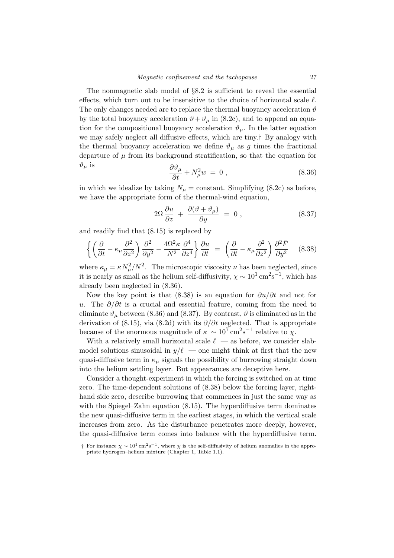The nonmagnetic slab model of §8.2 is sufficient to reveal the essential effects, which turn out to be insensitive to the choice of horizontal scale  $\ell$ . The only changes needed are to replace the thermal buoyancy acceleration  $\vartheta$ by the total buoyancy acceleration  $\vartheta + \vartheta_{\mu}$  in (8.2c), and to append an equation for the compositional buoyancy acceleration  $\vartheta_{\mu}$ . In the latter equation we may safely neglect all diffusive effects, which are tiny.† By analogy with the thermal buoyancy acceleration we define  $\vartheta_{\mu}$  as g times the fractional departure of  $\mu$  from its background stratification, so that the equation for  $\vartheta_{\mu}$  is  $\partial \vartheta$ 

$$
\frac{\partial \vartheta_{\mu}}{\partial t} + N_{\mu}^{2} w = 0 , \qquad (8.36)
$$

in which we idealize by taking  $N_{\mu} = \text{constant}$ . Simplifying (8.2c) as before, we have the appropriate form of the thermal-wind equation,

$$
2\Omega \frac{\partial u}{\partial z} + \frac{\partial (\vartheta + \vartheta_{\mu})}{\partial y} = 0 , \qquad (8.37)
$$

and readily find that (8.15) is replaced by

$$
\left\{ \left( \frac{\partial}{\partial t} - \kappa_{\mu} \frac{\partial^2}{\partial z^2} \right) \frac{\partial^2}{\partial y^2} - \frac{4\Omega^2 \kappa}{N^2} \frac{\partial^4}{\partial z^4} \right\} \frac{\partial u}{\partial t} = \left( \frac{\partial}{\partial t} - \kappa_{\mu} \frac{\partial^2}{\partial z^2} \right) \frac{\partial^2 \bar{F}}{\partial y^2} \tag{8.38}
$$

where  $\kappa_{\mu} = \kappa N_{\mu}^2/N^2$ . The microscopic viscosity  $\nu$  has been neglected, since it is nearly as small as the helium self-diffusivity,  $\chi \sim 10^{1} \text{ cm}^{2} \text{s}^{-1}$ , which has already been neglected in (8.36).

Now the key point is that (8.38) is an equation for  $\partial u/\partial t$  and not for u. The  $\partial/\partial t$  is a crucial and essential feature, coming from the need to eliminate  $\vartheta_\mu$  between (8.36) and (8.37). By contrast,  $\vartheta$  is eliminated as in the derivation of (8.15), via (8.2d) with its  $\partial/\partial t$  neglected. That is appropriate because of the enormous magnitude of  $\kappa \sim 10^7 \,\mathrm{cm}^2 \mathrm{s}^{-1}$  relative to  $\chi$ .

With a relatively small horizontal scale  $\ell$  — as before, we consider slabmodel solutions sinusoidal in  $y/\ell$  — one might think at first that the new quasi-diffusive term in  $\kappa_{\mu}$  signals the possibility of burrowing straight down into the helium settling layer. But appearances are deceptive here.

Consider a thought-experiment in which the forcing is switched on at time zero. The time-dependent solutions of (8.38) below the forcing layer, righthand side zero, describe burrowing that commences in just the same way as with the Spiegel–Zahn equation  $(8.15)$ . The hyperdiffusive term dominates the new quasi-diffusive term in the earliest stages, in which the vertical scale increases from zero. As the disturbance penetrates more deeply, however, the quasi-diffusive term comes into balance with the hyperdiffusive term.

<sup>†</sup> For instance  $\chi \sim 10^{1}$  cm<sup>2</sup>s<sup>-1</sup>, where  $\chi$  is the self-diffusivity of helium anomalies in the appropriate hydrogen–helium mixture (Chapter 1, Table 1.1).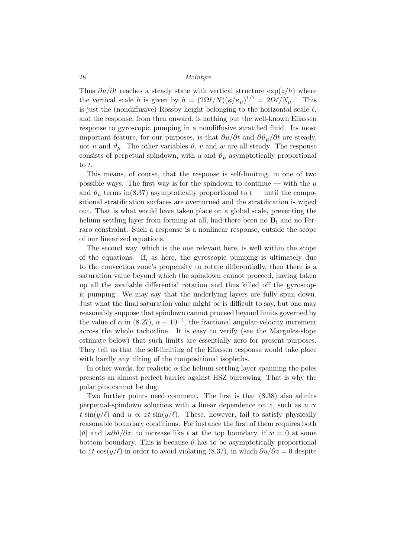Thus  $\partial u/\partial t$  reaches a steady state with vertical structure  $\exp(z/h)$  where the vertical scale h is given by  $h = (2\Omega l/N)(\kappa/\kappa_\mu)^{1/2} = 2\Omega l/N_\mu$ . This is just the (nondiffusive) Rossby height belonging to the horizontal scale  $\ell$ , and the response, from then onward, is nothing but the well-known Eliassen response to gyroscopic pumping in a nondiffusive stratified fluid. Its most important feature, for our purposes, is that  $\partial u/\partial t$  and  $\partial \vartheta_{\mu}/\partial t$  are steady, not u and  $\vartheta_\mu$ . The other variables  $\vartheta$ , v and w are all steady. The response consists of perpetual spindown, with u and  $\vartheta_\mu$  asymptotically proportional to t.

This means, of course, that the response is self-limiting, in one of two possible ways. The first way is for the spindown to continue — with the  $u$ and  $\vartheta_u$  terms in(8.37) asymptotically proportional to  $t$  — until the compositional stratification surfaces are overturned and the stratification is wiped out. That is what would have taken place on a global scale, preventing the helium settling layer from forming at all, had there been no  $B_i$  and no Ferraro constraint. Such a response is a nonlinear response, outside the scope of our linearized equations.

The second way, which is the one relevant here, is well within the scope of the equations. If, as here, the gyroscopic pumping is ultimately due to the convection zone's propensity to rotate differentially, then there is a saturation value beyond which the spindown cannot proceed, having taken up all the available differential rotation and thus killed off the gyroscopic pumping. We may say that the underlying layers are fully spun down. Just what the final saturation value might be is difficult to say, but one may reasonably suppose that spindown cannot proceed beyond limits governed by the value of  $\alpha$  in (8.27),  $\alpha \sim 10^{-1}$ , the fractional angular-velocity increment across the whole tachocline. It is easy to verify (see the Margules-slope estimate below) that such limits are essentially zero for present purposes. They tell us that the self-limiting of the Eliassen response would take place with hardly any tilting of the compositional isopleths.

In other words, for realistic  $\alpha$  the helium settling layer spanning the poles presents an almost perfect barrier against HSZ burrowing. That is why the polar pits cannot be dug.

Two further points need comment. The first is that (8.38) also admits perpetual-spindown solutions with a linear dependence on z, such as  $u \propto$ t  $\sin(y/\ell)$  and  $u \propto z t \sin(y/\ell)$ . These, however, fail to satisfy physically reasonable boundary conditions. For instance the first of them requires both | $\vartheta$ | and  $|\kappa \partial \vartheta/\partial z|$  to increase like t at the top boundary, if  $w = 0$  at some bottom boundary. This is because  $\vartheta$  has to be asymptotically proportional to zt cos $(y/\ell)$  in order to avoid violating (8.37), in which  $\partial u/\partial z = 0$  despite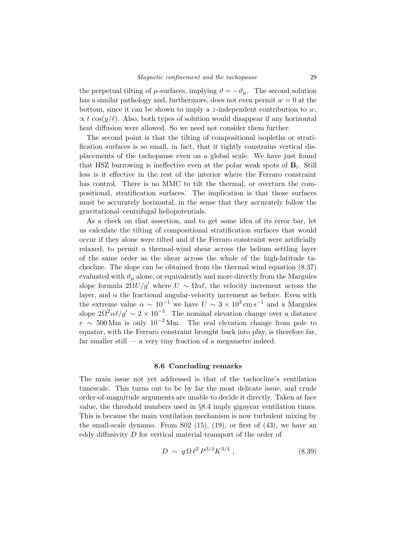the perpetual tilting of  $\mu$ -surfaces, implying  $\vartheta = -\vartheta_{\mu}$ . The second solution has a similar pathology and, furthermore, does not even permit  $w = 0$  at the bottom, since it can be shown to imply a z-independent contribution to  $w$ ,  $\propto t \cos(y/\ell)$ . Also, both types of solution would disappear if any horizontal heat diffusion were allowed. So we need not consider them further.

The second point is that the tilting of compositional isopleths or stratification surfaces is so small, in fact, that it tightly constrains vertical displacements of the tachopause even on a global scale. We have just found that HSZ burrowing is ineffective even at the polar weak spots of  $B_i$ . Still less is it effective in the rest of the interior where the Ferraro constraint has control. There is no MMC to tilt the thermal, or overturn the compositional, stratification surfaces. The implication is that those surfaces must be accurately horizontal, in the sense that they accurately follow the gravitational–centrifugal heliopotentials.

As a check on that assertion, and to get some idea of its error bar, let us calculate the tilting of compositional stratification surfaces that would occur if they alone were tilted and if the Ferraro constraint were artificially relaxed, to permit a thermal-wind shear across the helium settling layer of the same order as the shear across the whole of the high-latitude tachocline. The slope can be obtained from the thermal wind equation (8.37) evaluated with  $\vartheta_\mu$  alone, or equivalently and more directly from the Margules slope formula  $2\Omega U/g'$  where  $U \sim \Omega \alpha \ell$ , the velocity increment across the layer, and  $\alpha$  the fractional angular-velocity increment as before. Even with the extreme value  $\alpha \sim 10^{-1}$  we have  $U \sim 3 \times 10^3 \text{ cm s}^{-1}$  and a Margules slope  $2\Omega^2 \alpha \ell / g' \sim 2 \times 10^{-5}$ . The nominal elevation change over a distance  $r \sim 500 \,\mathrm{Mm}$  is only  $10^{-2} \,\mathrm{Mm}$ . The real elevation change from pole to equator, with the Ferraro constraint brought back into play, is therefore far, far smaller still — a very tiny fraction of a megametre indeed.

#### 8.6 Concluding remarks

The main issue not yet addressed is that of the tachocline's ventilation timescale. This turns out to be by far the most delicate issue, and crude order-of-magnitude arguments are unable to decide it directly. Taken at face value, the threshold numbers used in §8.4 imply gigayear ventilation times. This is because the main ventilation mechanism is now turbulent mixing by the small-scale dynamo. From  $S_0(15)$ ,  $(19)$ , or first of  $(43)$ , we have an eddy diffusivity D for vertical material transport of the order of

$$
D \sim q \Omega \ell^2 P^{3/4} K^{3/4} , \qquad (8.39)
$$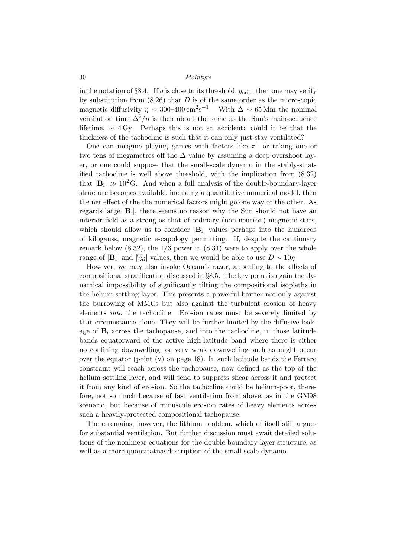in the notation of §8.4. If q is close to its threshold,  $q_{\text{crit}}$ , then one may verify by substitution from  $(8.26)$  that D is of the same order as the microscopic magnetic diffusivity  $\eta \sim 300-400 \,\text{cm}^2\text{s}^{-1}$ . With  $\Delta \sim 65 \,\text{Mm}$  the nominal ventilation time  $\Delta^2/\eta$  is then about the same as the Sun's main-sequence lifetime, ∼ 4 Gy. Perhaps this is not an accident: could it be that the thickness of the tachocline is such that it can only just stay ventilated?

One can imagine playing games with factors like  $\pi^2$  or taking one or two tens of megametres off the  $\Delta$  value by assuming a deep overshoot layer, or one could suppose that the small-scale dynamo in the stably-stratified tachocline is well above threshold, with the implication from (8.32) that  $|\mathbf{B}_i| \gg 10^2$  G. And when a full analysis of the double-boundary-layer structure becomes available, including a quantitative numerical model, then the net effect of the the numerical factors might go one way or the other. As regards large  $|\mathbf{B}_i|$ , there seems no reason why the Sun should not have an interior field as a strong as that of ordinary (non-neutron) magnetic stars, which should allow us to consider  $|\mathbf{B}_i|$  values perhaps into the hundreds of kilogauss, magnetic escapology permitting. If, despite the cautionary remark below  $(8.32)$ , the  $1/3$  power in  $(8.31)$  were to apply over the whole range of  $|\mathbf{B}_i|$  and  $|V_{Ai}|$  values, then we would be able to use  $D \sim 10\eta$ .

However, we may also invoke Occam's razor, appealing to the effects of compositional stratification discussed in §8.5. The key point is again the dynamical impossibility of significantly tilting the compositional isopleths in the helium settling layer. This presents a powerful barrier not only against the burrowing of MMCs but also against the turbulent erosion of heavy elements into the tachocline. Erosion rates must be severely limited by that circumstance alone. They will be further limited by the diffusive leakage of  $B_i$  across the tachopause, and into the tachocline, in those latitude bands equatorward of the active high-latitude band where there is either no confining downwelling, or very weak downwelling such as might occur over the equator (point  $(v)$  on page 18). In such latitude bands the Ferraro constraint will reach across the tachopause, now defined as the top of the helium settling layer, and will tend to suppress shear across it and protect it from any kind of erosion. So the tachocline could be helium-poor, therefore, not so much because of fast ventilation from above, as in the GM98 scenario, but because of minuscule erosion rates of heavy elements across such a heavily-protected compositional tachopause.

There remains, however, the lithium problem, which of itself still argues for substantial ventilation. But further discussion must await detailed solutions of the nonlinear equations for the double-boundary-layer structure, as well as a more quantitative description of the small-scale dynamo.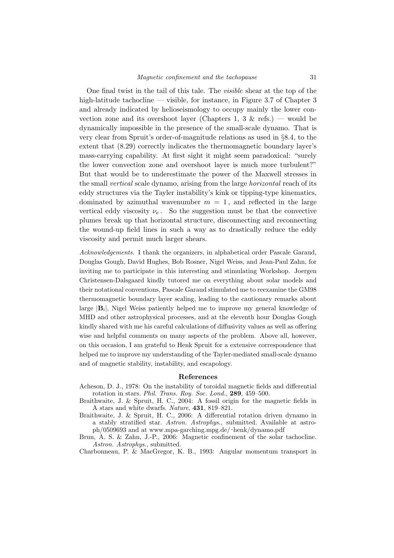One final twist in the tail of this tale. The visible shear at the top of the high-latitude tachocline — visible, for instance, in Figure 3.7 of Chapter 3 and already indicated by helioseismology to occupy mainly the lower convection zone and its overshoot layer (Chapters 1, 3  $\&$  refs.) — would be dynamically impossible in the presence of the small-scale dynamo. That is very clear from Spruit's order-of-magnitude relations as used in §8.4, to the extent that (8.29) correctly indicates the thermomagnetic boundary layer's mass-carrying capability. At first sight it might seem paradoxical: "surely the lower convection zone and overshoot layer is much more turbulent?" But that would be to underestimate the power of the Maxwell stresses in the small vertical scale dynamo, arising from the large horizontal reach of its eddy structures via the Tayler instability's kink or tipping-type kinematics, dominated by azimuthal wavenumber  $m = 1$ , and reflected in the large vertical eddy viscosity  $\nu_e$ . So the suggestion must be that the convective plumes break up that horizontal structure, disconnecting and reconnecting the wound-up field lines in such a way as to drastically reduce the eddy viscosity and permit much larger shears.

Acknowledgements. I thank the organizers, in alphabetical order Pascale Garaud, Douglas Gough, David Hughes, Bob Rosner, Nigel Weiss, and Jean-Paul Zahn, for inviting me to participate in this interesting and stimulating Workshop. Joergen Christensen-Dalsgaard kindly tutored me on everything about solar models and their notational conventions, Pascale Garaud stimulated me to reexamine the GM98 thermomagnetic boundary layer scaling, leading to the cautionary remarks about large |B<sup>i</sup> |, Nigel Weiss patiently helped me to improve my general knowledge of MHD and other astrophysical processes, and at the eleventh hour Douglas Gough kindly shared with me his careful calculations of diffusivity values as well as offering wise and helpful comments on many aspects of the problem. Above all, however, on this occasion, I am grateful to Henk Spruit for a extensive correspondence that helped me to improve my understanding of the Tayler-mediated small-scale dynamo and of magnetic stability, instability, and escapology.

#### References

- Acheson, D. J., 1978: On the instability of toroidal magnetic fields and differential rotation in stars. Phil. Trans. Roy. Soc. Lond., 289, 459–500.
- Braithwaite, J. & Spruit, H. C., 2004: A fossil origin for the magnetic fields in A stars and white dwarfs. Nature, 431, 819–821.
- Braithwaite, J. & Spruit, H. C., 2006: A differential rotation driven dynamo in a stably stratified star. Astron. Astrophys., submitted. Available at astroph/0509693 and at www.mpa-garching.mpg.de/˜ henk/dynamo.pdf
- Brun, A. S. & Zahn, J.-P., 2006: Magnetic confinement of the solar tachocline. Astron. Astrophys., submitted.

Charbonneau, P. & MacGregor, K. B., 1993: Angular momentum transport in